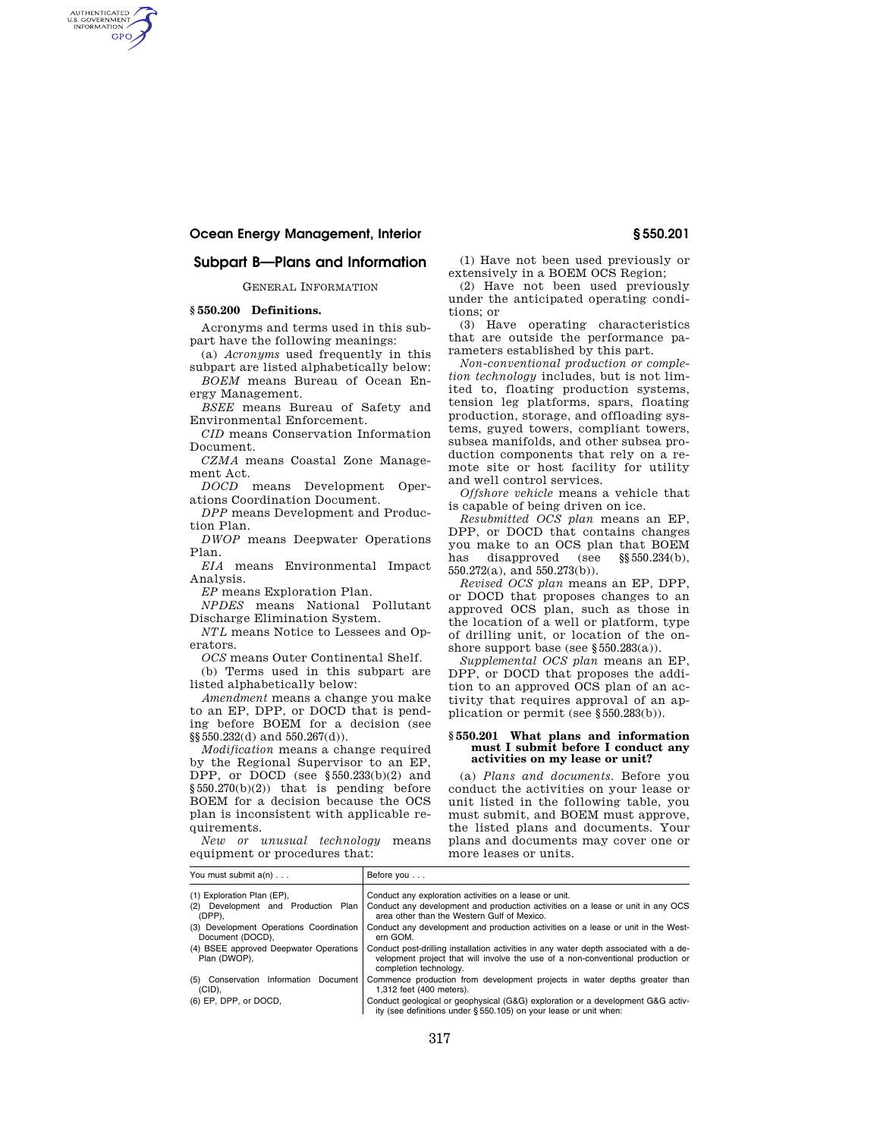## **Subpart B—Plans and Information**

GENERAL INFORMATION

## **§ 550.200 Definitions.**

AUTHENTICATED<br>U.S. GOVERNMENT<br>INFORMATION **GPO** 

> Acronyms and terms used in this subpart have the following meanings:

(a) *Acronyms* used frequently in this subpart are listed alphabetically below:

*BOEM* means Bureau of Ocean Energy Management.

*BSEE* means Bureau of Safety and Environmental Enforcement.

*CID* means Conservation Information Document.

*CZMA* means Coastal Zone Management Act.

*DOCD* means Development Operations Coordination Document.

*DPP* means Development and Production Plan.

*DWOP* means Deepwater Operations Plan.

*EIA* means Environmental Impact Analysis.

*EP* means Exploration Plan.

*NPDES* means National Pollutant Discharge Elimination System.

*NTL* means Notice to Lessees and Operators.

*OCS* means Outer Continental Shelf.

(b) Terms used in this subpart are listed alphabetically below:

*Amendment* means a change you make to an EP, DPP, or DOCD that is pending before BOEM for a decision (see §§550.232(d) and 550.267(d)).

*Modification* means a change required by the Regional Supervisor to an EP, DPP, or DOCD (see §550.233(b)(2) and §550.270(b)(2)) that is pending before BOEM for a decision because the OCS plan is inconsistent with applicable requirements.

*New or unusual technology* means equipment or procedures that:

(1) Have not been used previously or extensively in a BOEM OCS Region;

(2) Have not been used previously under the anticipated operating conditions; or

(3) Have operating characteristics that are outside the performance parameters established by this part.

*Non-conventional production or completion technology* includes, but is not limited to, floating production systems, tension leg platforms, spars, floating production, storage, and offloading systems, guyed towers, compliant towers, subsea manifolds, and other subsea production components that rely on a remote site or host facility for utility and well control services.

*Offshore vehicle* means a vehicle that is capable of being driven on ice.

*Resubmitted OCS plan* means an EP, DPP, or DOCD that contains changes you make to an OCS plan that BOEM has disapproved (see §§550.234(b), 550.272(a), and 550.273(b)).

*Revised OCS plan* means an EP, DPP, or DOCD that proposes changes to an approved OCS plan, such as those in the location of a well or platform, type of drilling unit, or location of the onshore support base (see §550.283(a)).

*Supplemental OCS plan* means an EP, DPP, or DOCD that proposes the addition to an approved OCS plan of an activity that requires approval of an application or permit (see §550.283(b)).

## **§ 550.201 What plans and information must I submit before I conduct any activities on my lease or unit?**

(a) *Plans and documents.* Before you conduct the activities on your lease or unit listed in the following table, you must submit, and BOEM must approve, the listed plans and documents. Your plans and documents may cover one or more leases or units.

| You must submit a(n)                                        | Before you                                                                                                                                                                                          |
|-------------------------------------------------------------|-----------------------------------------------------------------------------------------------------------------------------------------------------------------------------------------------------|
| (1) Exploration Plan (EP),                                  | Conduct any exploration activities on a lease or unit.                                                                                                                                              |
| (2) Development and Production Plan<br>(DPP).               | Conduct any development and production activities on a lease or unit in any OCS<br>area other than the Western Gulf of Mexico.                                                                      |
| (3) Development Operations Coordination<br>Document (DOCD), | Conduct any development and production activities on a lease or unit in the West-<br>ern GOM.                                                                                                       |
| (4) BSEE approved Deepwater Operations<br>Plan (DWOP),      | Conduct post-drilling installation activities in any water depth associated with a de-<br>velopment project that will involve the use of a non-conventional production or<br>completion technology. |
| (5) Conservation Information Document<br>$(CID)$ .          | Commence production from development projects in water depths greater than<br>1,312 feet (400 meters).                                                                                              |
| (6) EP, DPP, or DOCD,                                       | Conduct geological or geophysical (G&G) exploration or a development G&G activ-<br>ity (see definitions under §550.105) on your lease or unit when:                                                 |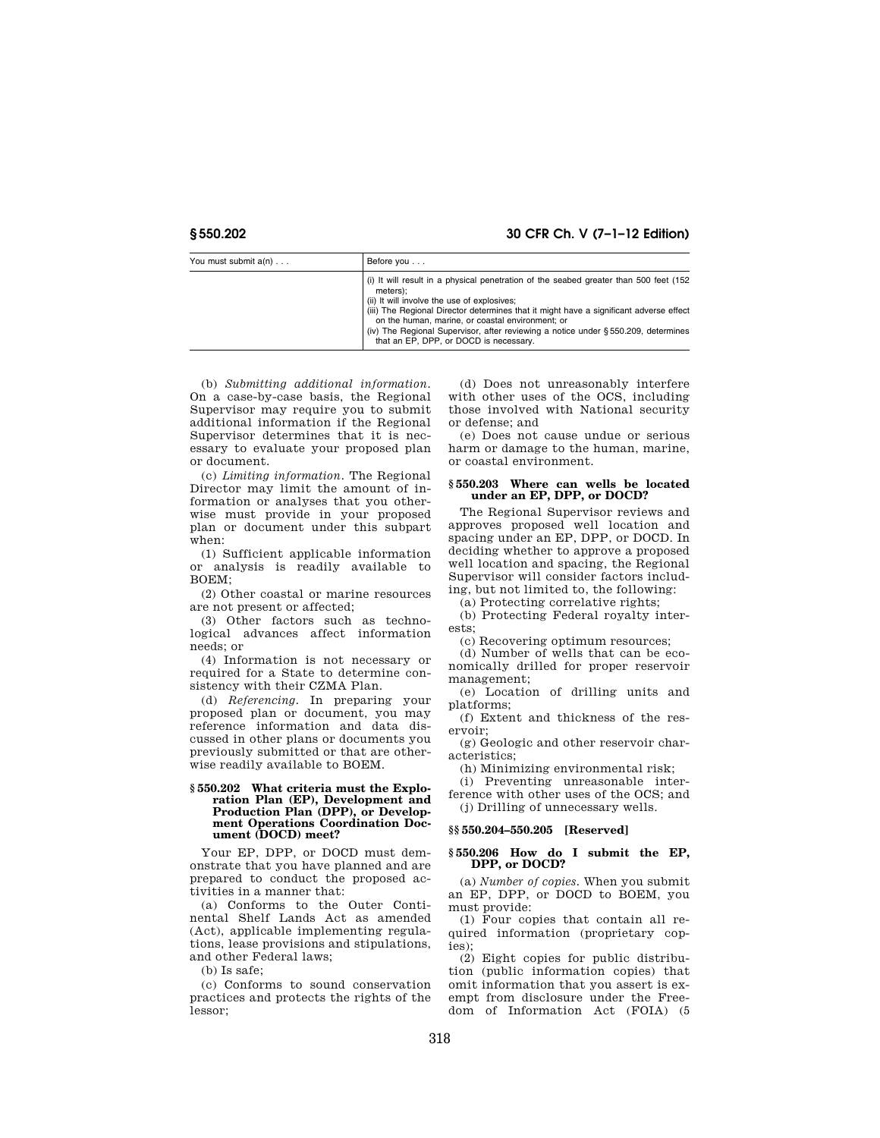## **§ 550.202 30 CFR Ch. V (7–1–12 Edition)**

| You must submit a(n) | Before you                                                                                                                                                                                                                                                                                                                                                                                                                     |  |
|----------------------|--------------------------------------------------------------------------------------------------------------------------------------------------------------------------------------------------------------------------------------------------------------------------------------------------------------------------------------------------------------------------------------------------------------------------------|--|
|                      | (i) It will result in a physical penetration of the seabed greater than 500 feet (152)<br>meters);<br>(ii) It will involve the use of explosives;<br>(iii) The Regional Director determines that it might have a significant adverse effect<br>on the human, marine, or coastal environment; or<br>(iv) The Regional Supervisor, after reviewing a notice under §550.209, determines<br>that an EP. DPP. or DOCD is necessary. |  |

(b) *Submitting additional information.*  On a case-by-case basis, the Regional Supervisor may require you to submit additional information if the Regional Supervisor determines that it is necessary to evaluate your proposed plan or document.

(c) *Limiting information.* The Regional Director may limit the amount of information or analyses that you otherwise must provide in your proposed plan or document under this subpart when:

(1) Sufficient applicable information or analysis is readily available to BOEM;

(2) Other coastal or marine resources are not present or affected;

(3) Other factors such as technological advances affect information needs; or

(4) Information is not necessary or required for a State to determine consistency with their CZMA Plan.

(d) *Referencing.* In preparing your proposed plan or document, you may reference information and data discussed in other plans or documents you previously submitted or that are otherwise readily available to BOEM.

## **§ 550.202 What criteria must the Exploration Plan (EP), Development and Production Plan (DPP), or Development Operations Coordination Document (DOCD) meet?**

Your EP, DPP, or DOCD must demonstrate that you have planned and are prepared to conduct the proposed activities in a manner that:

(a) Conforms to the Outer Continental Shelf Lands Act as amended (Act), applicable implementing regulations, lease provisions and stipulations, and other Federal laws;

(b) Is safe;

(c) Conforms to sound conservation practices and protects the rights of the lessor;

(d) Does not unreasonably interfere with other uses of the OCS, including those involved with National security or defense; and

(e) Does not cause undue or serious harm or damage to the human, marine, or coastal environment.

## **§ 550.203 Where can wells be located under an EP, DPP, or DOCD?**

The Regional Supervisor reviews and approves proposed well location and spacing under an EP, DPP, or DOCD. In deciding whether to approve a proposed well location and spacing, the Regional Supervisor will consider factors including, but not limited to, the following:

(a) Protecting correlative rights;

(b) Protecting Federal royalty interests;

(c) Recovering optimum resources;

(d) Number of wells that can be economically drilled for proper reservoir management;

(e) Location of drilling units and platforms;

(f) Extent and thickness of the reservoir;

(g) Geologic and other reservoir characteristics;

(h) Minimizing environmental risk;

(i) Preventing unreasonable interference with other uses of the OCS; and (j) Drilling of unnecessary wells.

## **§§ 550.204–550.205 [Reserved]**

## **§ 550.206 How do I submit the EP, DPP, or DOCD?**

(a) *Number of copies.* When you submit an EP, DPP, or DOCD to BOEM, you must provide:

(1) Four copies that contain all required information (proprietary copies);

(2) Eight copies for public distribution (public information copies) that omit information that you assert is exempt from disclosure under the Freedom of Information Act (FOIA) (5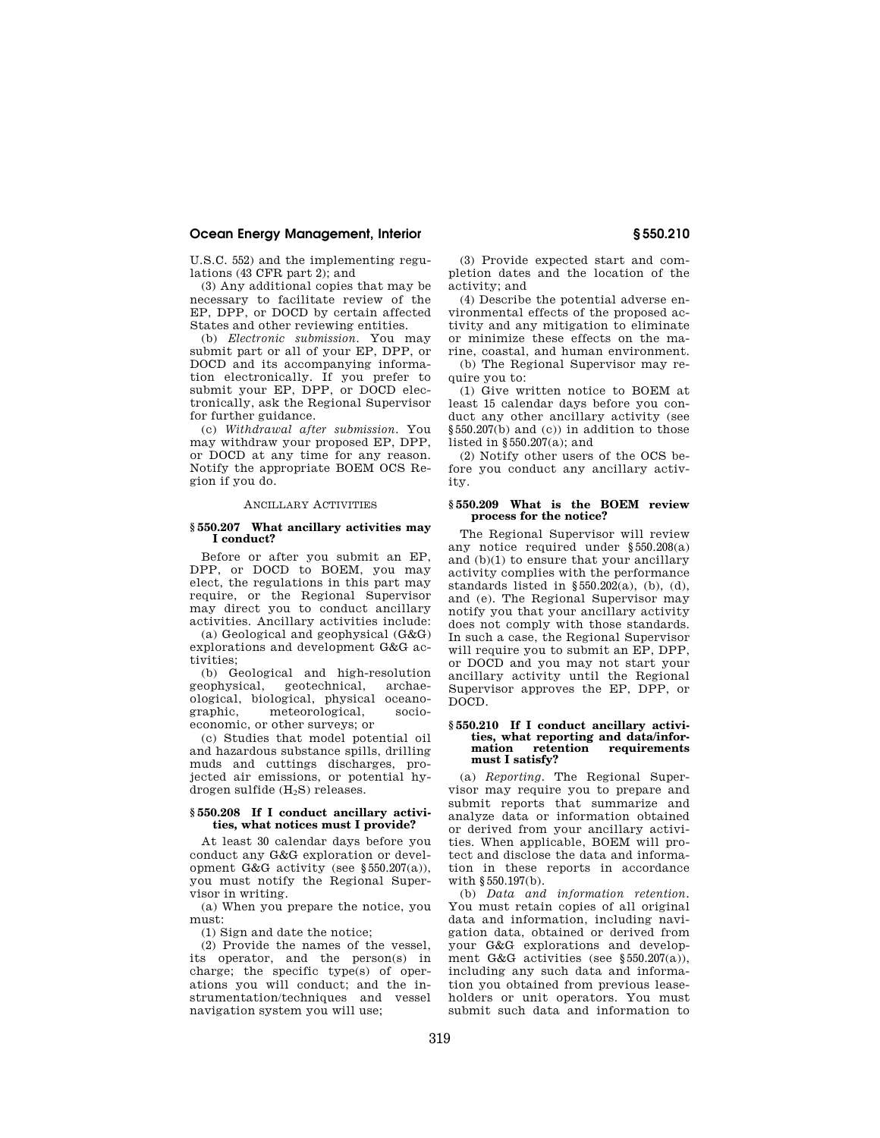U.S.C. 552) and the implementing regulations (43 CFR part 2); and

(3) Any additional copies that may be necessary to facilitate review of the EP, DPP, or DOCD by certain affected States and other reviewing entities.

(b) *Electronic submission.* You may submit part or all of your EP, DPP, or DOCD and its accompanying information electronically. If you prefer to submit your EP, DPP, or DOCD electronically, ask the Regional Supervisor for further guidance.

(c) *Withdrawal after submission.* You may withdraw your proposed EP, DPP, or DOCD at any time for any reason. Notify the appropriate BOEM OCS Region if you do.

## ANCILLARY ACTIVITIES

## **§ 550.207 What ancillary activities may I conduct?**

Before or after you submit an EP, DPP, or DOCD to BOEM, you may elect, the regulations in this part may require, or the Regional Supervisor may direct you to conduct ancillary activities. Ancillary activities include:

(a) Geological and geophysical (G&G) explorations and development G&G activities;

(b) Geological and high-resolution geophysical, geotechnical, archaeological, biological, physical oceanographic, meteorological, socioeconomic, or other surveys; or

(c) Studies that model potential oil and hazardous substance spills, drilling muds and cuttings discharges, projected air emissions, or potential hydrogen sulfide (H2S) releases.

## **§ 550.208 If I conduct ancillary activities, what notices must I provide?**

At least 30 calendar days before you conduct any G&G exploration or development G&G activity (see §550.207(a)), you must notify the Regional Supervisor in writing.

(a) When you prepare the notice, you must:

(1) Sign and date the notice;

(2) Provide the names of the vessel, its operator, and the person(s) in charge; the specific type(s) of operations you will conduct; and the instrumentation/techniques and vessel navigation system you will use;

(3) Provide expected start and completion dates and the location of the activity; and

(4) Describe the potential adverse environmental effects of the proposed activity and any mitigation to eliminate or minimize these effects on the marine, coastal, and human environment.

(b) The Regional Supervisor may require you to:

(1) Give written notice to BOEM at least 15 calendar days before you conduct any other ancillary activity (see §550.207(b) and (c)) in addition to those listed in §550.207(a); and

(2) Notify other users of the OCS before you conduct any ancillary activity.

## **§ 550.209 What is the BOEM review process for the notice?**

The Regional Supervisor will review any notice required under §550.208(a) and (b)(1) to ensure that your ancillary activity complies with the performance standards listed in  $§550.202(a)$ , (b), (d), and (e). The Regional Supervisor may notify you that your ancillary activity does not comply with those standards. In such a case, the Regional Supervisor will require you to submit an EP, DPP, or DOCD and you may not start your ancillary activity until the Regional Supervisor approves the EP, DPP, or DOCD.

## **§ 550.210 If I conduct ancillary activities, what reporting and data/information retention requirements must I satisfy?**

(a) *Reporting.* The Regional Supervisor may require you to prepare and submit reports that summarize and analyze data or information obtained or derived from your ancillary activities. When applicable, BOEM will protect and disclose the data and information in these reports in accordance with §550.197(b).

(b) *Data and information retention.*  You must retain copies of all original data and information, including navigation data, obtained or derived from your G&G explorations and development G&G activities (see §550.207(a)), including any such data and information you obtained from previous leaseholders or unit operators. You must submit such data and information to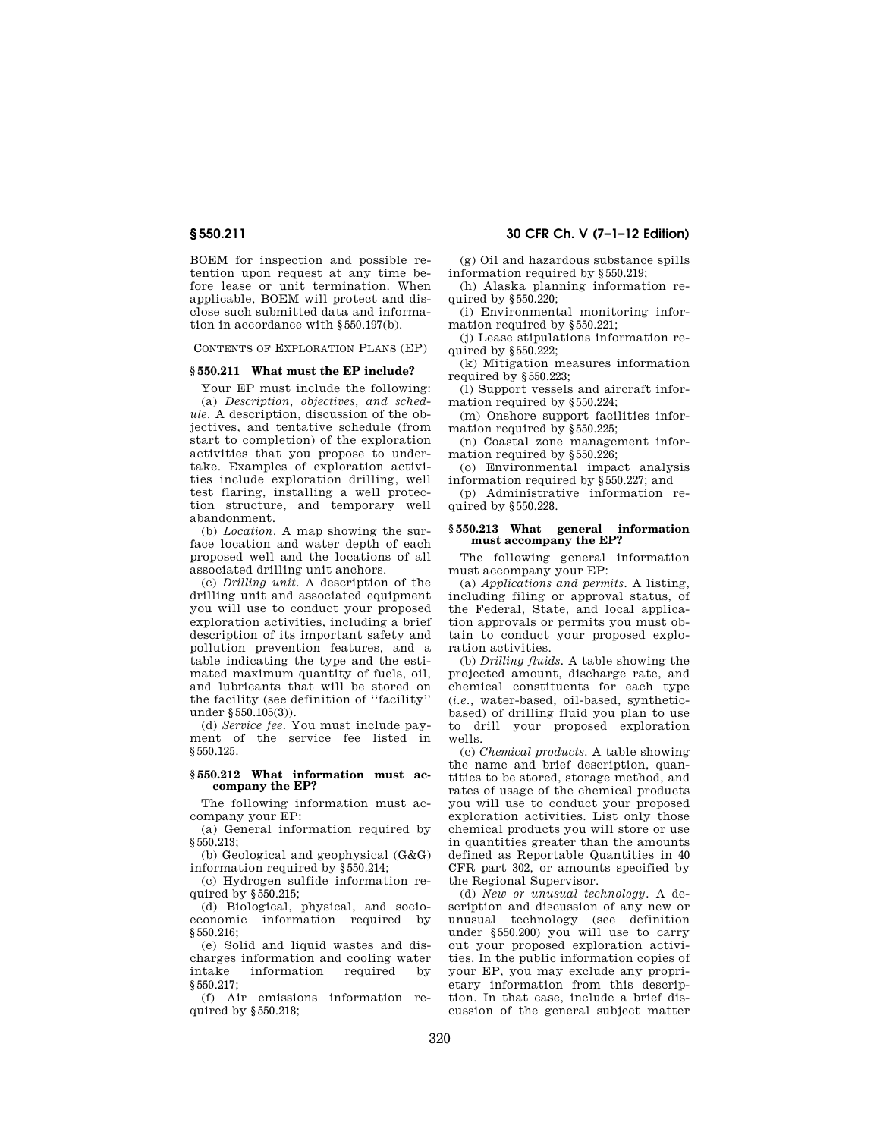BOEM for inspection and possible retention upon request at any time before lease or unit termination. When applicable, BOEM will protect and disclose such submitted data and information in accordance with §550.197(b).

CONTENTS OF EXPLORATION PLANS (EP)

## **§ 550.211 What must the EP include?**

Your EP must include the following:

(a) *Description, objectives, and schedule.* A description, discussion of the objectives, and tentative schedule (from start to completion) of the exploration activities that you propose to undertake. Examples of exploration activities include exploration drilling, well test flaring, installing a well protection structure, and temporary well abandonment.

(b) *Location.* A map showing the surface location and water depth of each proposed well and the locations of all associated drilling unit anchors.

(c) *Drilling unit.* A description of the drilling unit and associated equipment you will use to conduct your proposed exploration activities, including a brief description of its important safety and pollution prevention features, and a table indicating the type and the estimated maximum quantity of fuels, oil, and lubricants that will be stored on the facility (see definition of ''facility'' under §550.105(3)).

(d) *Service fee.* You must include payment of the service fee listed in §550.125.

## **§ 550.212 What information must accompany the EP?**

The following information must accompany your EP:

(a) General information required by  $$550.213$ 

(b) Geological and geophysical (G&G) information required by §550.214;

(c) Hydrogen sulfide information required by §550.215;

(d) Biological, physical, and socioeconomic information required by §550.216;

(e) Solid and liquid wastes and discharges information and cooling water<br>intake information required by information required §550.217;

(f) Air emissions information required by §550.218;

## **§ 550.211 30 CFR Ch. V (7–1–12 Edition)**

(g) Oil and hazardous substance spills information required by §550.219;

(h) Alaska planning information required by §550.220;

(i) Environmental monitoring information required by §550.221;

(j) Lease stipulations information required by §550.222;

(k) Mitigation measures information required by §550.223;

(l) Support vessels and aircraft information required by §550.224;

(m) Onshore support facilities information required by §550.225;

(n) Coastal zone management information required by §550.226;

(o) Environmental impact analysis information required by §550.227; and

(p) Administrative information required by §550.228.

## **§ 550.213 What general information must accompany the EP?**

The following general information must accompany your EP:

(a) *Applications and permits.* A listing, including filing or approval status, of the Federal, State, and local application approvals or permits you must obtain to conduct your proposed exploration activities.

(b) *Drilling fluids.* A table showing the projected amount, discharge rate, and chemical constituents for each type (*i.e.,* water-based, oil-based, syntheticbased) of drilling fluid you plan to use to drill your proposed exploration wells.

(c) *Chemical products.* A table showing the name and brief description, quantities to be stored, storage method, and rates of usage of the chemical products you will use to conduct your proposed exploration activities. List only those chemical products you will store or use in quantities greater than the amounts defined as Reportable Quantities in 40 CFR part 302, or amounts specified by the Regional Supervisor.

(d) *New or unusual technology.* A description and discussion of any new or unusual technology (see definition under §550.200) you will use to carry out your proposed exploration activities. In the public information copies of your EP, you may exclude any proprietary information from this description. In that case, include a brief discussion of the general subject matter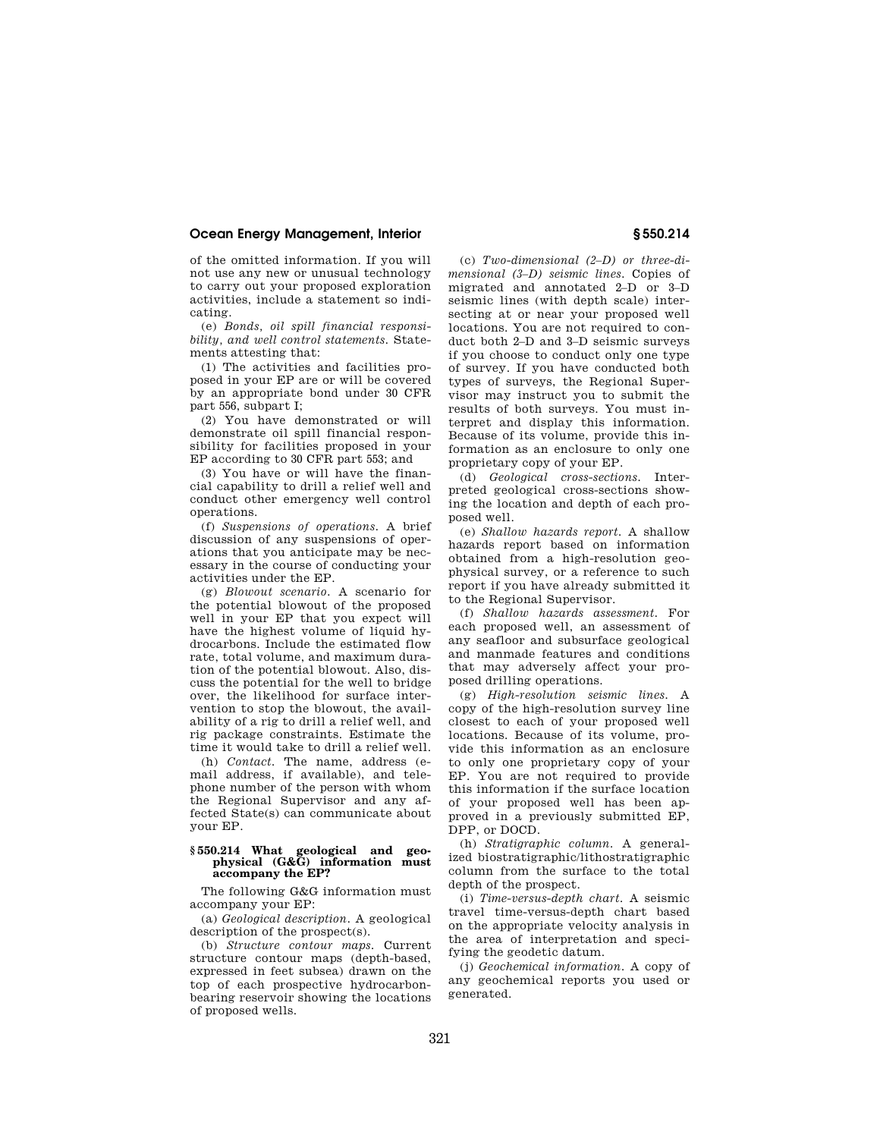of the omitted information. If you will not use any new or unusual technology to carry out your proposed exploration activities, include a statement so indicating.

(e) *Bonds, oil spill financial responsibility, and well control statements.* Statements attesting that:

(1) The activities and facilities proposed in your EP are or will be covered by an appropriate bond under 30 CFR part 556, subpart I;

(2) You have demonstrated or will demonstrate oil spill financial responsibility for facilities proposed in your EP according to 30 CFR part 553; and

(3) You have or will have the financial capability to drill a relief well and conduct other emergency well control operations.

(f) *Suspensions of operations.* A brief discussion of any suspensions of operations that you anticipate may be necessary in the course of conducting your activities under the EP.

(g) *Blowout scenario.* A scenario for the potential blowout of the proposed well in your EP that you expect will have the highest volume of liquid hydrocarbons. Include the estimated flow rate, total volume, and maximum duration of the potential blowout. Also, discuss the potential for the well to bridge over, the likelihood for surface intervention to stop the blowout, the availability of a rig to drill a relief well, and rig package constraints. Estimate the time it would take to drill a relief well.

(h) *Contact.* The name, address (email address, if available), and telephone number of the person with whom the Regional Supervisor and any affected State(s) can communicate about your EP.

#### **§ 550.214 What geological and geophysical (G&G) information must accompany the EP?**

The following G&G information must accompany your EP:

(a) *Geological description.* A geological description of the prospect(s).

(b) *Structure contour maps.* Current structure contour maps (depth-based, expressed in feet subsea) drawn on the top of each prospective hydrocarbonbearing reservoir showing the locations of proposed wells.

(c) *Two-dimensional (2–D) or three-dimensional (3–D) seismic lines.* Copies of migrated and annotated 2–D or 3–D seismic lines (with depth scale) intersecting at or near your proposed well locations. You are not required to conduct both 2–D and 3–D seismic surveys if you choose to conduct only one type of survey. If you have conducted both types of surveys, the Regional Supervisor may instruct you to submit the results of both surveys. You must interpret and display this information. Because of its volume, provide this information as an enclosure to only one proprietary copy of your EP.

(d) *Geological cross-sections.* Interpreted geological cross-sections showing the location and depth of each proposed well.

(e) *Shallow hazards report.* A shallow hazards report based on information obtained from a high-resolution geophysical survey, or a reference to such report if you have already submitted it to the Regional Supervisor.

(f) *Shallow hazards assessment.* For each proposed well, an assessment of any seafloor and subsurface geological and manmade features and conditions that may adversely affect your proposed drilling operations.

(g) *High-resolution seismic lines.* A copy of the high-resolution survey line closest to each of your proposed well locations. Because of its volume, provide this information as an enclosure to only one proprietary copy of your EP. You are not required to provide this information if the surface location of your proposed well has been approved in a previously submitted EP, DPP, or DOCD.

(h) *Stratigraphic column.* A generalized biostratigraphic/lithostratigraphic column from the surface to the total depth of the prospect.

(i) *Time-versus-depth chart.* A seismic travel time-versus-depth chart based on the appropriate velocity analysis in the area of interpretation and specifying the geodetic datum.

(j) *Geochemical information.* A copy of any geochemical reports you used or generated.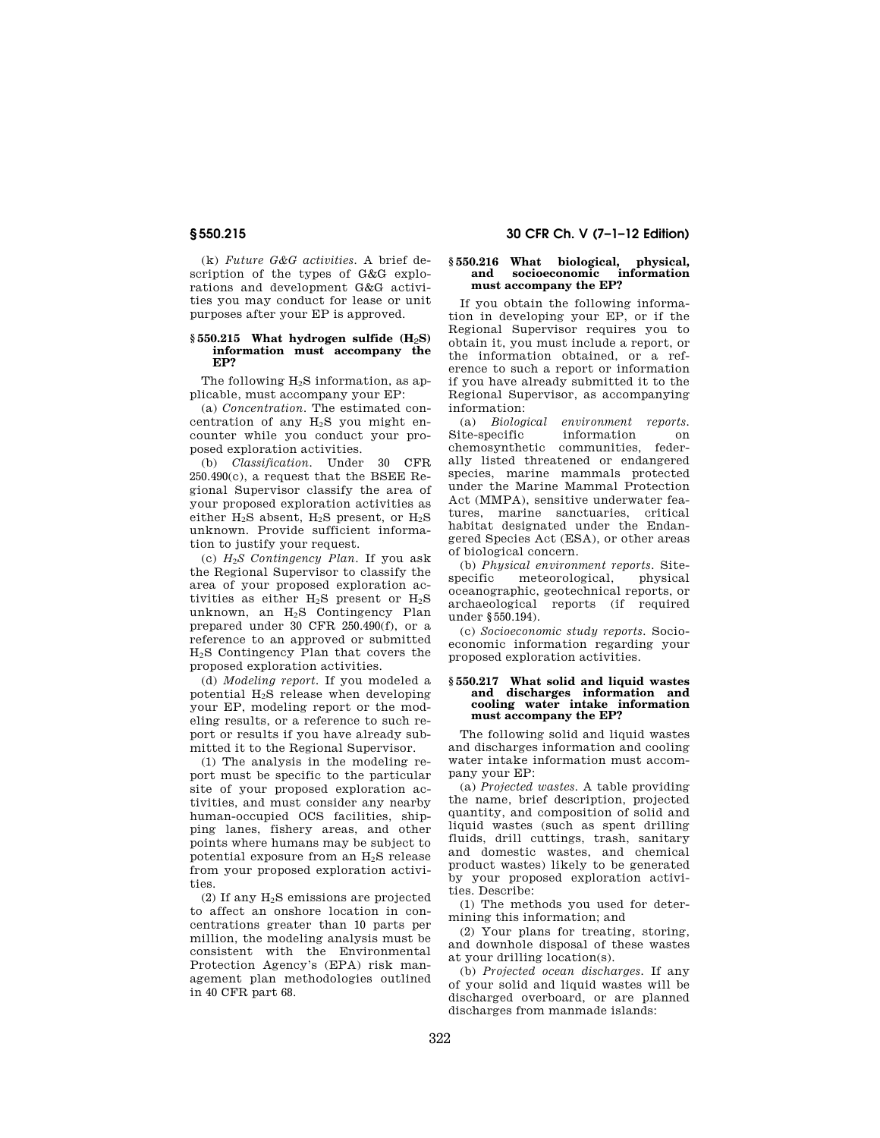(k) *Future G&G activities.* A brief description of the types of G&G explorations and development G&G activities you may conduct for lease or unit purposes after your EP is approved.

## **§ 550.215 What hydrogen sulfide (H**2**S) information must accompany the EP?**

The following H<sub>2</sub>S information, as applicable, must accompany your EP:

(a) *Concentration.* The estimated concentration of any  $H_2S$  you might encounter while you conduct your proposed exploration activities.

(b) *Classification.* Under 30 CFR 250.490(c), a request that the BSEE Regional Supervisor classify the area of your proposed exploration activities as either  $H_2S$  absent,  $H_2S$  present, or  $H_2S$ unknown. Provide sufficient information to justify your request.

(c) *H*2*S Contingency Plan*. If you ask the Regional Supervisor to classify the area of your proposed exploration activities as either  $H_2S$  present or  $H_2S$ unknown, an H2S Contingency Plan prepared under 30 CFR 250.490(f), or a reference to an approved or submitted H2S Contingency Plan that covers the proposed exploration activities.

(d) *Modeling report.* If you modeled a potential H2S release when developing your EP, modeling report or the modeling results, or a reference to such report or results if you have already submitted it to the Regional Supervisor.

(1) The analysis in the modeling report must be specific to the particular site of your proposed exploration activities, and must consider any nearby human-occupied OCS facilities, shipping lanes, fishery areas, and other points where humans may be subject to potential exposure from an H2S release from your proposed exploration activities.

(2) If any H2S emissions are projected to affect an onshore location in concentrations greater than 10 parts per million, the modeling analysis must be consistent with the Environmental Protection Agency's (EPA) risk management plan methodologies outlined in 40 CFR part 68.

## **§ 550.215 30 CFR Ch. V (7–1–12 Edition)**

## **§ 550.216 What biological, physical, and socioeconomic information must accompany the EP?**

If you obtain the following information in developing your EP, or if the Regional Supervisor requires you to obtain it, you must include a report, or the information obtained, or a reference to such a report or information if you have already submitted it to the Regional Supervisor, as accompanying information:

(a) *Biological environment reports.*  Site-specific information on<br>chemosynthetic communities federchemosynthetic ally listed threatened or endangered species, marine mammals protected under the Marine Mammal Protection Act (MMPA), sensitive underwater features, marine sanctuaries, critical habitat designated under the Endangered Species Act (ESA), or other areas of biological concern.

(b) *Physical environment reports.* Sitespecific meteorological, physical oceanographic, geotechnical reports, or archaeological reports (if required under §550.194).

(c) *Socioeconomic study reports.* Socioeconomic information regarding your proposed exploration activities.

## **§ 550.217 What solid and liquid wastes and discharges information and cooling water intake information must accompany the EP?**

The following solid and liquid wastes and discharges information and cooling water intake information must accompany your EP:

(a) *Projected wastes.* A table providing the name, brief description, projected quantity, and composition of solid and liquid wastes (such as spent drilling fluids, drill cuttings, trash, sanitary and domestic wastes, and chemical product wastes) likely to be generated by your proposed exploration activities. Describe:

(1) The methods you used for determining this information; and

(2) Your plans for treating, storing, and downhole disposal of these wastes at your drilling location(s).

(b) *Projected ocean discharges.* If any of your solid and liquid wastes will be discharged overboard, or are planned discharges from manmade islands: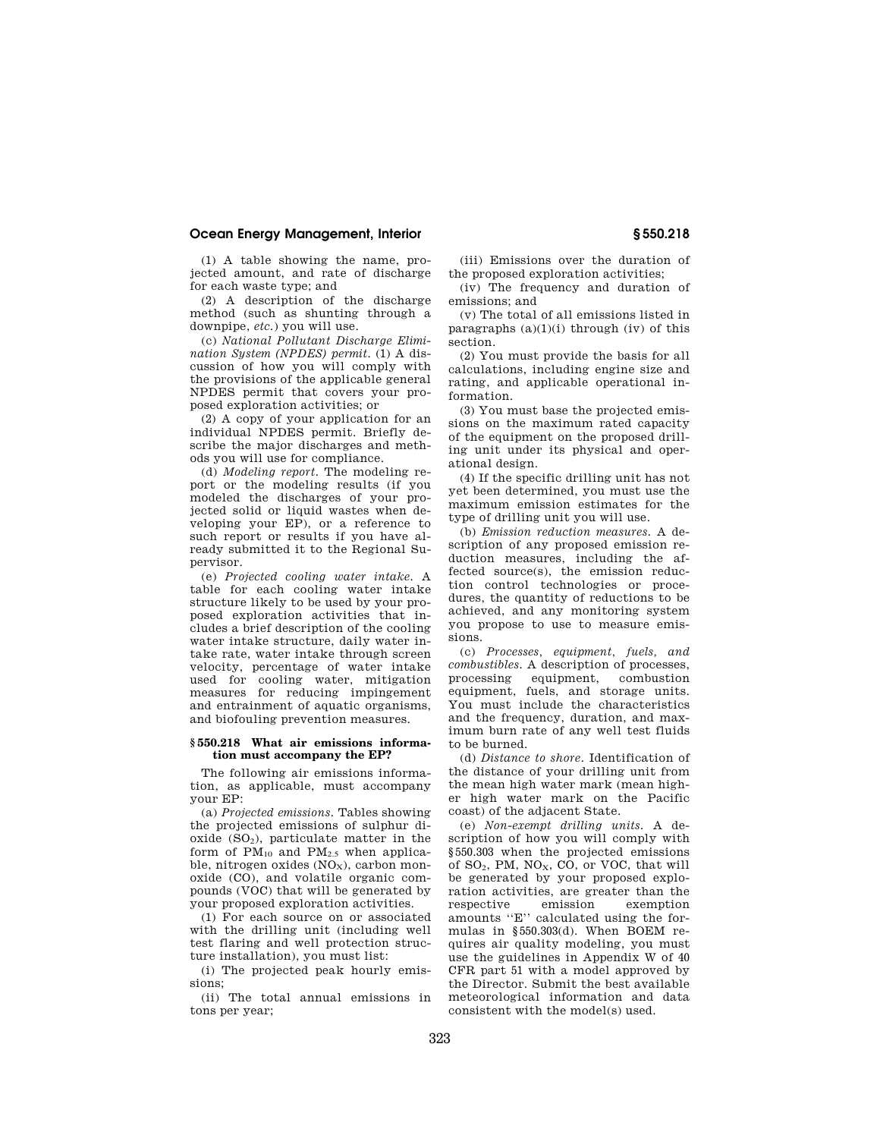(1) A table showing the name, projected amount, and rate of discharge for each waste type; and

(2) A description of the discharge method (such as shunting through a downpipe, *etc.*) you will use.

(c) *National Pollutant Discharge Elimination System (NPDES) permit.* (1) A discussion of how you will comply with the provisions of the applicable general NPDES permit that covers your proposed exploration activities; or

(2) A copy of your application for an individual NPDES permit. Briefly describe the major discharges and methods you will use for compliance.

(d) *Modeling report.* The modeling report or the modeling results (if you modeled the discharges of your projected solid or liquid wastes when developing your EP), or a reference to such report or results if you have already submitted it to the Regional Supervisor.

(e) *Projected cooling water intake.* A table for each cooling water intake structure likely to be used by your proposed exploration activities that includes a brief description of the cooling water intake structure, daily water intake rate, water intake through screen velocity, percentage of water intake used for cooling water, mitigation measures for reducing impingement and entrainment of aquatic organisms, and biofouling prevention measures.

## **§ 550.218 What air emissions information must accompany the EP?**

The following air emissions information, as applicable, must accompany your EP:

(a) *Projected emissions.* Tables showing the projected emissions of sulphur dioxide  $(SO<sub>2</sub>)$ , particulate matter in the form of  $PM_{10}$  and  $PM_{2.5}$  when applicable, nitrogen oxides  $(NO<sub>x</sub>)$ , carbon monoxide (CO), and volatile organic compounds (VOC) that will be generated by your proposed exploration activities.

(1) For each source on or associated with the drilling unit (including well test flaring and well protection structure installation), you must list:

(i) The projected peak hourly emissions;

(ii) The total annual emissions in tons per year;

(iii) Emissions over the duration of the proposed exploration activities;

(iv) The frequency and duration of emissions; and

(v) The total of all emissions listed in paragraphs  $(a)(1)(i)$  through  $(iv)$  of this section.

(2) You must provide the basis for all calculations, including engine size and rating, and applicable operational information.

(3) You must base the projected emissions on the maximum rated capacity of the equipment on the proposed drilling unit under its physical and operational design.

(4) If the specific drilling unit has not yet been determined, you must use the maximum emission estimates for the type of drilling unit you will use.

(b) *Emission reduction measures.* A description of any proposed emission reduction measures, including the affected source(s), the emission reduction control technologies or procedures, the quantity of reductions to be achieved, and any monitoring system you propose to use to measure emissions.

(c) *Processes, equipment, fuels, and combustibles.* A description of processes, processing equipment, combustion equipment, fuels, and storage units. You must include the characteristics and the frequency, duration, and maximum burn rate of any well test fluids to be burned.

(d) *Distance to shore.* Identification of the distance of your drilling unit from the mean high water mark (mean higher high water mark on the Pacific coast) of the adjacent State.

(e) *Non-exempt drilling units.* A description of how you will comply with §550.303 when the projected emissions of  $SO_2$ , PM,  $NO_X$ , CO, or VOC, that will be generated by your proposed exploration activities, are greater than the respective emission exemption amounts ''E'' calculated using the formulas in  $$550.303(d)$ . When BOEM requires air quality modeling, you must use the guidelines in Appendix W of 40 CFR part 51 with a model approved by the Director. Submit the best available meteorological information and data consistent with the model(s) used.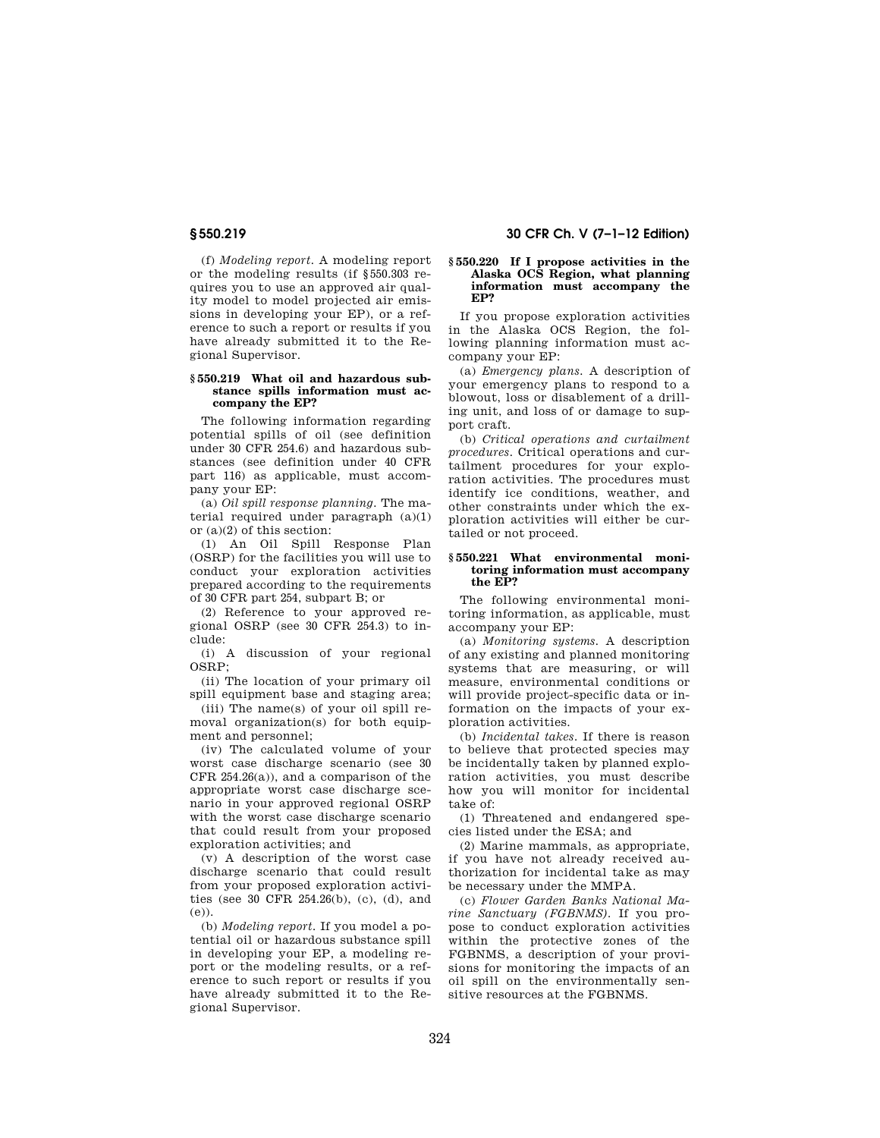(f) *Modeling report.* A modeling report or the modeling results (if §550.303 requires you to use an approved air quality model to model projected air emissions in developing your EP), or a reference to such a report or results if you have already submitted it to the Regional Supervisor.

## **§ 550.219 What oil and hazardous substance spills information must accompany the EP?**

The following information regarding potential spills of oil (see definition under 30 CFR 254.6) and hazardous substances (see definition under 40 CFR part 116) as applicable, must accompany your EP:

(a) *Oil spill response planning.* The material required under paragraph (a)(1) or (a)(2) of this section:

(1) An Oil Spill Response Plan (OSRP) for the facilities you will use to conduct your exploration activities prepared according to the requirements of 30 CFR part 254, subpart B; or

(2) Reference to your approved regional OSRP (see 30 CFR 254.3) to include:

(i) A discussion of your regional OSRP;

(ii) The location of your primary oil spill equipment base and staging area;

(iii) The name(s) of your oil spill removal organization(s) for both equipment and personnel;

(iv) The calculated volume of your worst case discharge scenario (see 30 CFR 254.26(a)), and a comparison of the appropriate worst case discharge scenario in your approved regional OSRP with the worst case discharge scenario that could result from your proposed exploration activities; and

(v) A description of the worst case discharge scenario that could result from your proposed exploration activities (see 30 CFR 254.26(b), (c), (d), and (e)).

(b) *Modeling report.* If you model a potential oil or hazardous substance spill in developing your EP, a modeling report or the modeling results, or a reference to such report or results if you have already submitted it to the Regional Supervisor.

## **§ 550.219 30 CFR Ch. V (7–1–12 Edition)**

## **§ 550.220 If I propose activities in the Alaska OCS Region, what planning information must accompany the EP?**

If you propose exploration activities in the Alaska OCS Region, the following planning information must accompany your EP:

(a) *Emergency plans.* A description of your emergency plans to respond to a blowout, loss or disablement of a drilling unit, and loss of or damage to support craft.

(b) *Critical operations and curtailment procedures.* Critical operations and curtailment procedures for your exploration activities. The procedures must identify ice conditions, weather, and other constraints under which the exploration activities will either be curtailed or not proceed.

## **§ 550.221 What environmental monitoring information must accompany the EP?**

The following environmental monitoring information, as applicable, must accompany your EP:

(a) *Monitoring systems.* A description of any existing and planned monitoring systems that are measuring, or will measure, environmental conditions or will provide project-specific data or information on the impacts of your exploration activities.

(b) *Incidental takes.* If there is reason to believe that protected species may be incidentally taken by planned exploration activities, you must describe how you will monitor for incidental take of:

(1) Threatened and endangered species listed under the ESA; and

(2) Marine mammals, as appropriate, if you have not already received authorization for incidental take as may be necessary under the MMPA.

(c) *Flower Garden Banks National Marine Sanctuary (FGBNMS).* If you propose to conduct exploration activities within the protective zones of the FGBNMS, a description of your provisions for monitoring the impacts of an oil spill on the environmentally sensitive resources at the FGBNMS.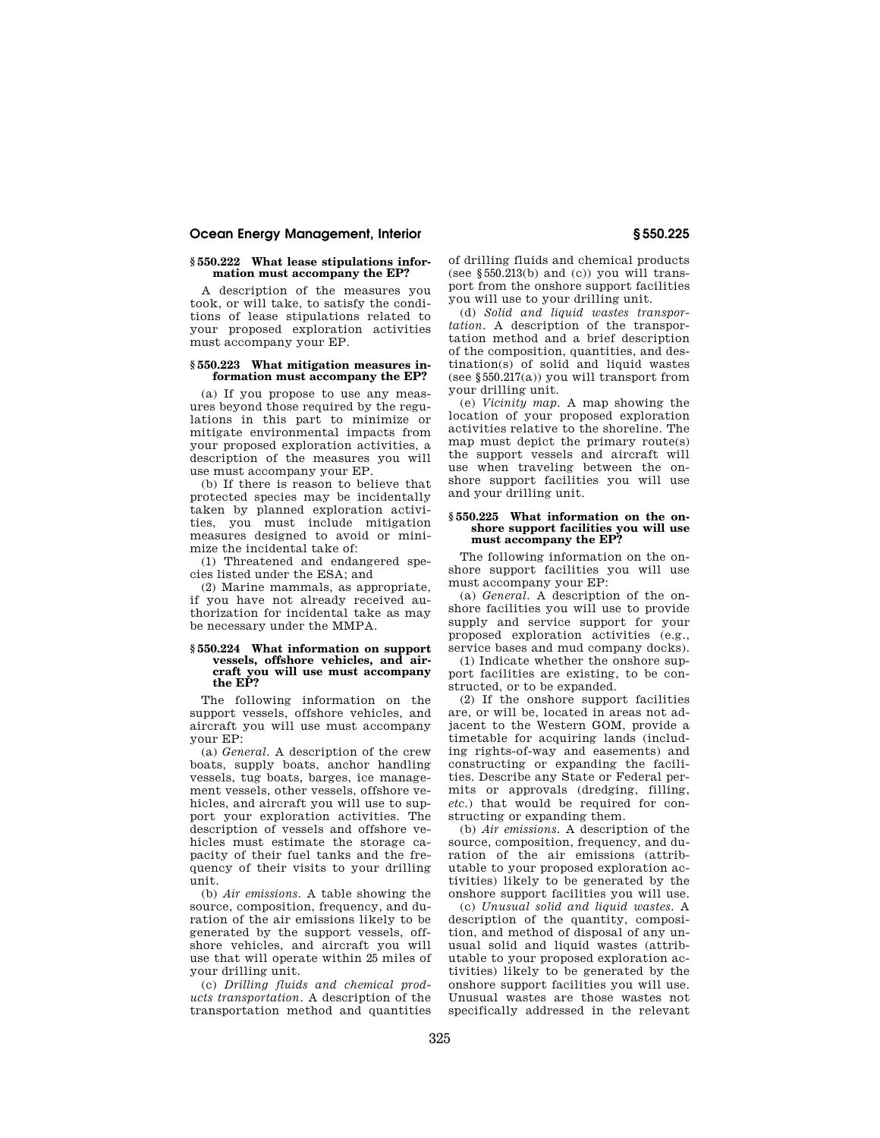## **§ 550.222 What lease stipulations information must accompany the EP?**

A description of the measures you took, or will take, to satisfy the conditions of lease stipulations related to your proposed exploration activities must accompany your EP.

## **§ 550.223 What mitigation measures information must accompany the EP?**

(a) If you propose to use any measures beyond those required by the regulations in this part to minimize or mitigate environmental impacts from your proposed exploration activities, a description of the measures you will use must accompany your EP.

(b) If there is reason to believe that protected species may be incidentally taken by planned exploration activities, you must include mitigation measures designed to avoid or minimize the incidental take of:

(1) Threatened and endangered species listed under the ESA; and

(2) Marine mammals, as appropriate, if you have not already received authorization for incidental take as may be necessary under the MMPA.

## **§ 550.224 What information on support**  vessels, offshore vehicles, and air**craft you will use must accompany the EP?**

The following information on the support vessels, offshore vehicles, and aircraft you will use must accompany your EP:

(a) *General.* A description of the crew boats, supply boats, anchor handling vessels, tug boats, barges, ice management vessels, other vessels, offshore vehicles, and aircraft you will use to support your exploration activities. The description of vessels and offshore vehicles must estimate the storage capacity of their fuel tanks and the frequency of their visits to your drilling unit.

(b) *Air emissions.* A table showing the source, composition, frequency, and duration of the air emissions likely to be generated by the support vessels, offshore vehicles, and aircraft you will use that will operate within 25 miles of your drilling unit.

(c) *Drilling fluids and chemical products transportation.* A description of the transportation method and quantities

of drilling fluids and chemical products (see  $§550.213(b)$  and (c)) you will transport from the onshore support facilities you will use to your drilling unit.

(d) *Solid and liquid wastes transportation.* A description of the transportation method and a brief description of the composition, quantities, and destination(s) of solid and liquid wastes (see §550.217(a)) you will transport from your drilling unit.

(e) *Vicinity map.* A map showing the location of your proposed exploration activities relative to the shoreline. The map must depict the primary route(s) the support vessels and aircraft will use when traveling between the onshore support facilities you will use and your drilling unit.

## **§ 550.225 What information on the onshore support facilities you will use must accompany the EP?**

The following information on the onshore support facilities you will use must accompany your EP:

(a) *General.* A description of the onshore facilities you will use to provide supply and service support for your proposed exploration activities (e.g., service bases and mud company docks).

(1) Indicate whether the onshore support facilities are existing, to be constructed, or to be expanded.

(2) If the onshore support facilities are, or will be, located in areas not adjacent to the Western GOM, provide a timetable for acquiring lands (including rights-of-way and easements) and constructing or expanding the facilities. Describe any State or Federal permits or approvals (dredging, filling, *etc.*) that would be required for constructing or expanding them.

(b) *Air emissions.* A description of the source, composition, frequency, and duration of the air emissions (attributable to your proposed exploration activities) likely to be generated by the onshore support facilities you will use.

(c) *Unusual solid and liquid wastes.* A description of the quantity, composition, and method of disposal of any unusual solid and liquid wastes (attributable to your proposed exploration activities) likely to be generated by the onshore support facilities you will use. Unusual wastes are those wastes not specifically addressed in the relevant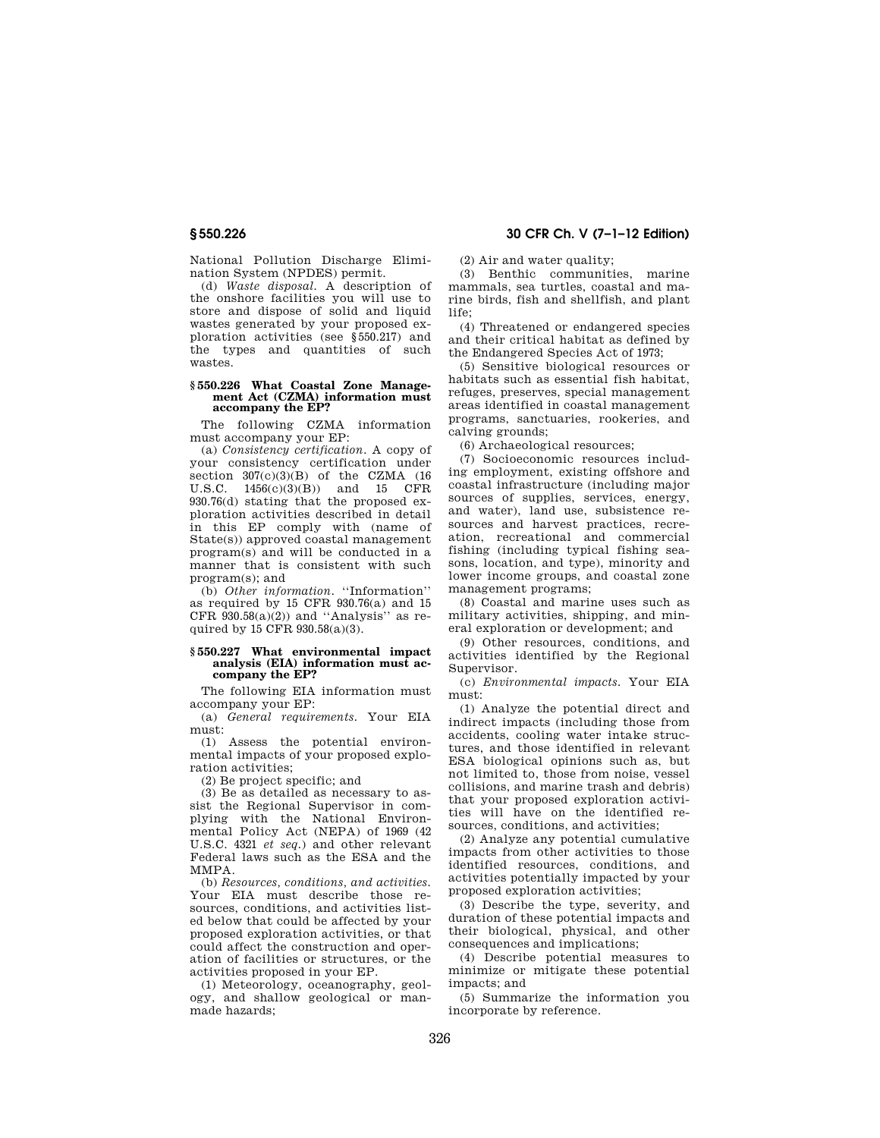National Pollution Discharge Elimination System (NPDES) permit.

(d) *Waste disposal.* A description of the onshore facilities you will use to store and dispose of solid and liquid wastes generated by your proposed exploration activities (see §550.217) and the types and quantities of such wastes.

## **§ 550.226 What Coastal Zone Management Act (CZMA) information must accompany the EP?**

The following CZMA information must accompany your EP:

(a) *Consistency certification.* A copy of your consistency certification under section  $307(c)(3)(B)$  of the CZMA (16 U.S.C. 1456(c)(3)(B)) and 15 CFR 930.76(d) stating that the proposed exploration activities described in detail in this EP comply with (name of State(s)) approved coastal management program(s) and will be conducted in a manner that is consistent with such program(s); and

(b) *Other information.* ''Information'' as required by 15 CFR 930.76(a) and 15 CFR  $930.58(a)(2)$  and "Analysis" as required by 15 CFR 930.58(a)(3).

## **§ 550.227 What environmental impact analysis (EIA) information must accompany the EP?**

The following EIA information must accompany your EP:

(a) *General requirements.* Your EIA must:

(1) Assess the potential environmental impacts of your proposed exploration activities;

(2) Be project specific; and

(3) Be as detailed as necessary to assist the Regional Supervisor in complying with the National Environmental Policy Act (NEPA) of 1969 (42 U.S.C. 4321 *et seq.*) and other relevant Federal laws such as the ESA and the MMPA.

(b) *Resources, conditions, and activities.*  Your EIA must describe those resources, conditions, and activities listed below that could be affected by your proposed exploration activities, or that could affect the construction and operation of facilities or structures, or the activities proposed in your EP.

(1) Meteorology, oceanography, geology, and shallow geological or manmade hazards;

**§ 550.226 30 CFR Ch. V (7–1–12 Edition)** 

(2) Air and water quality;

(3) Benthic communities, marine mammals, sea turtles, coastal and marine birds, fish and shellfish, and plant life;

(4) Threatened or endangered species and their critical habitat as defined by the Endangered Species Act of 1973;

(5) Sensitive biological resources or habitats such as essential fish habitat, refuges, preserves, special management areas identified in coastal management programs, sanctuaries, rookeries, and calving grounds;

(6) Archaeological resources;

(7) Socioeconomic resources including employment, existing offshore and coastal infrastructure (including major sources of supplies, services, energy, and water), land use, subsistence resources and harvest practices, recreation, recreational and commercial fishing (including typical fishing seasons, location, and type), minority and lower income groups, and coastal zone management programs;

(8) Coastal and marine uses such as military activities, shipping, and mineral exploration or development; and

(9) Other resources, conditions, and activities identified by the Regional Supervisor.

(c) *Environmental impacts.* Your EIA must:

(1) Analyze the potential direct and indirect impacts (including those from accidents, cooling water intake structures, and those identified in relevant ESA biological opinions such as, but not limited to, those from noise, vessel collisions, and marine trash and debris) that your proposed exploration activities will have on the identified resources, conditions, and activities;

(2) Analyze any potential cumulative impacts from other activities to those identified resources, conditions, and activities potentially impacted by your proposed exploration activities;

(3) Describe the type, severity, and duration of these potential impacts and their biological, physical, and other consequences and implications;

(4) Describe potential measures to minimize or mitigate these potential impacts; and

(5) Summarize the information you incorporate by reference.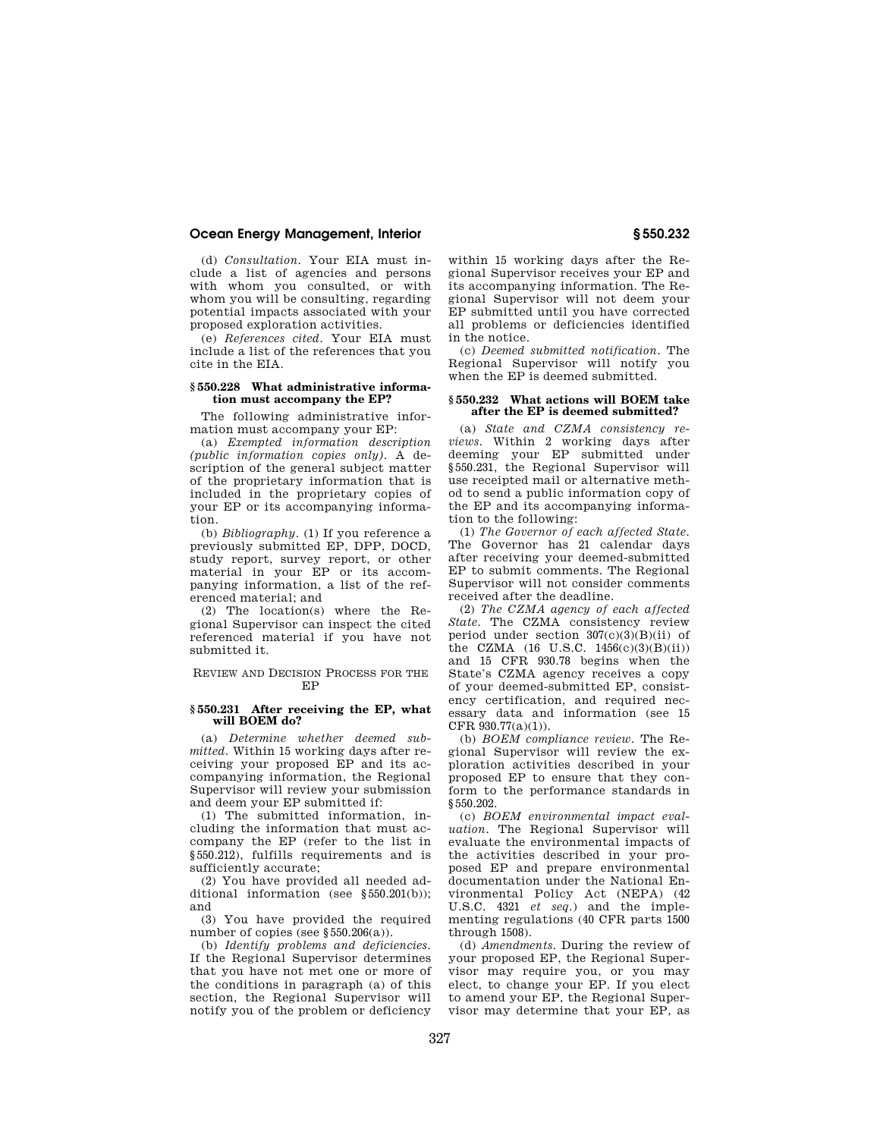(d) *Consultation.* Your EIA must include a list of agencies and persons with whom you consulted or with whom you will be consulting, regarding potential impacts associated with your proposed exploration activities.

(e) *References cited.* Your EIA must include a list of the references that you cite in the EIA.

## **§ 550.228 What administrative information must accompany the EP?**

The following administrative information must accompany your EP:

(a) *Exempted information description (public information copies only).* A description of the general subject matter of the proprietary information that is included in the proprietary copies of your EP or its accompanying information.

(b) *Bibliography.* (1) If you reference a previously submitted EP, DPP, DOCD, study report, survey report, or other material in your EP or its accompanying information, a list of the referenced material; and

(2) The location(s) where the Regional Supervisor can inspect the cited referenced material if you have not submitted it.

REVIEW AND DECISION PROCESS FOR THE EP

## **§ 550.231 After receiving the EP, what will BOEM do?**

(a) *Determine whether deemed submitted.* Within 15 working days after receiving your proposed EP and its accompanying information, the Regional Supervisor will review your submission and deem your EP submitted if:

(1) The submitted information, including the information that must accompany the EP (refer to the list in §550.212), fulfills requirements and is sufficiently accurate;

(2) You have provided all needed additional information (see §550.201(b)); and

(3) You have provided the required number of copies (see §550.206(a)).

(b) *Identify problems and deficiencies.*  If the Regional Supervisor determines that you have not met one or more of the conditions in paragraph (a) of this section, the Regional Supervisor will notify you of the problem or deficiency

within 15 working days after the Regional Supervisor receives your EP and its accompanying information. The Regional Supervisor will not deem your EP submitted until you have corrected all problems or deficiencies identified in the notice.

(c) *Deemed submitted notification.* The Regional Supervisor will notify you when the EP is deemed submitted.

### **§ 550.232 What actions will BOEM take after the EP is deemed submitted?**

(a) *State and CZMA consistency reviews.* Within 2 working days after deeming your EP submitted under §550.231, the Regional Supervisor will use receipted mail or alternative method to send a public information copy of the EP and its accompanying information to the following:

(1) *The Governor of each affected State.*  The Governor has 21 calendar days after receiving your deemed-submitted EP to submit comments. The Regional Supervisor will not consider comments received after the deadline.

(2) *The CZMA agency of each affected State.* The CZMA consistency review period under section  $307(c)(3)(B)(ii)$  of the CZMA (16 U.S.C. 1456(c)(3)(B)(ii)) and 15 CFR 930.78 begins when the State's CZMA agency receives a copy of your deemed-submitted EP, consistency certification, and required necessary data and information (see 15  $CFR 930.77(a)(1)$ .

(b) *BOEM compliance review.* The Regional Supervisor will review the exploration activities described in your proposed EP to ensure that they conform to the performance standards in §550.202.

(c) *BOEM environmental impact evaluation.* The Regional Supervisor will evaluate the environmental impacts of the activities described in your proposed EP and prepare environmental documentation under the National Environmental Policy Act (NEPA) (42 U.S.C. 4321 *et seq.*) and the implementing regulations (40 CFR parts 1500 through 1508).

(d) *Amendments.* During the review of your proposed EP, the Regional Supervisor may require you, or you may elect, to change your EP. If you elect to amend your EP, the Regional Supervisor may determine that your EP, as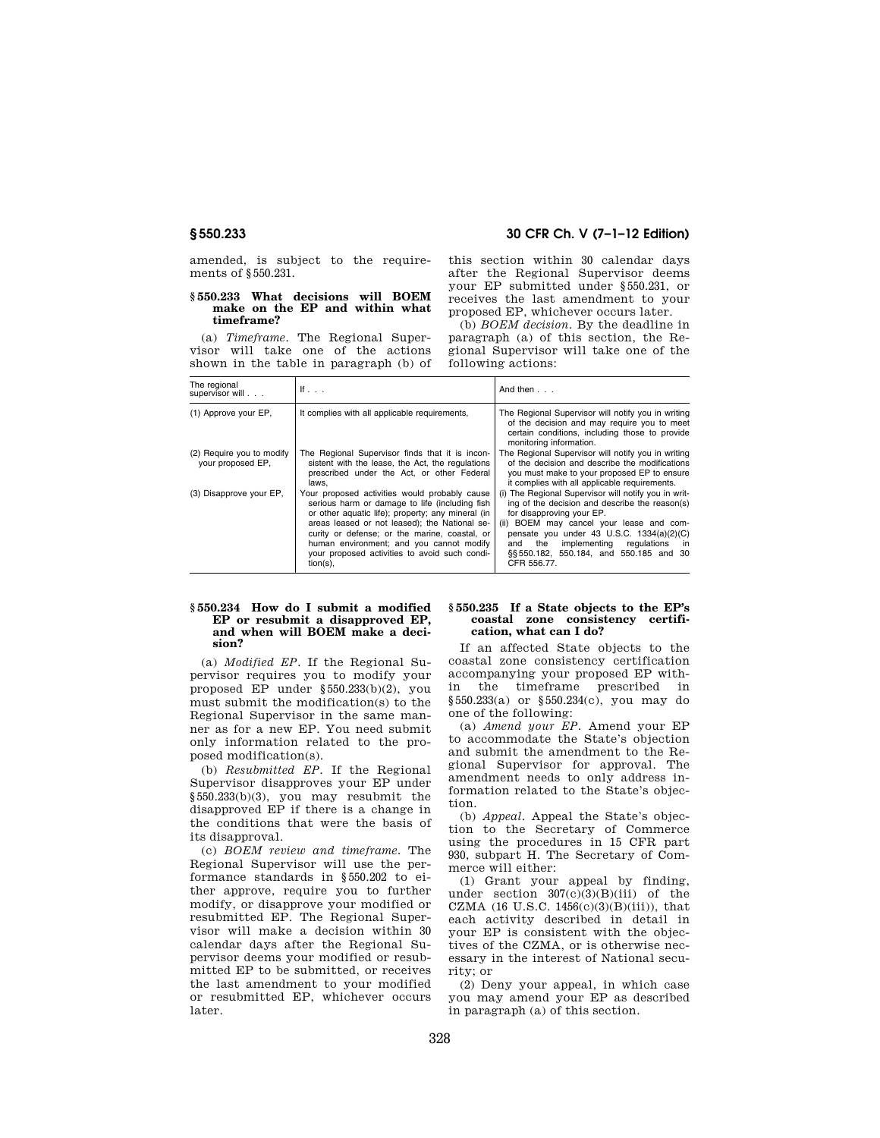## **§ 550.233 30 CFR Ch. V (7–1–12 Edition)**

amended, is subject to the requirements of §550.231.

## **§ 550.233 What decisions will BOEM make on the EP and within what timeframe?**

(a) *Timeframe.* The Regional Supervisor will take one of the actions shown in the table in paragraph (b) of this section within 30 calendar days after the Regional Supervisor deems your EP submitted under §550.231, or receives the last amendment to your proposed EP, whichever occurs later.

(b) *BOEM decision.* By the deadline in paragraph (a) of this section, the Regional Supervisor will take one of the following actions:

| The regional<br>supervisor will                | If $\ldots$                                                                                                                                                                                                                                                                                                                                                        | And then $\ldots$                                                                                                                                                                                                                                                                                                                       |
|------------------------------------------------|--------------------------------------------------------------------------------------------------------------------------------------------------------------------------------------------------------------------------------------------------------------------------------------------------------------------------------------------------------------------|-----------------------------------------------------------------------------------------------------------------------------------------------------------------------------------------------------------------------------------------------------------------------------------------------------------------------------------------|
| (1) Approve your EP,                           | It complies with all applicable requirements,                                                                                                                                                                                                                                                                                                                      | The Regional Supervisor will notify you in writing<br>of the decision and may require you to meet<br>certain conditions, including those to provide<br>monitoring information.                                                                                                                                                          |
| (2) Require you to modify<br>your proposed EP, | The Regional Supervisor finds that it is incon-<br>sistent with the lease, the Act, the regulations<br>prescribed under the Act, or other Federal<br>laws.                                                                                                                                                                                                         | The Regional Supervisor will notify you in writing<br>of the decision and describe the modifications<br>you must make to your proposed EP to ensure<br>it complies with all applicable requirements.                                                                                                                                    |
| (3) Disapprove your EP,                        | Your proposed activities would probably cause<br>serious harm or damage to life (including fish<br>or other aquatic life); property; any mineral (in<br>areas leased or not leased); the National se-<br>curity or defense: or the marine, coastal, or<br>human environment; and you cannot modify<br>your proposed activities to avoid such condi-<br>$tion(s)$ , | (i) The Regional Supervisor will notify you in writ-<br>ing of the decision and describe the reason(s)<br>for disapproving your EP.<br>(ii) BOEM may cancel your lease and com-<br>pensate you under 43 U.S.C. $1334(a)(2)(C)$<br>implementing regulations<br>the<br>and<br>in<br>§§550.182, 550.184, and 550.185 and 30<br>CFR 556.77. |

## **§ 550.234 How do I submit a modified EP or resubmit a disapproved EP, and when will BOEM make a decision?**

(a) *Modified EP.* If the Regional Supervisor requires you to modify your proposed EP under §550.233(b)(2), you must submit the modification(s) to the Regional Supervisor in the same manner as for a new EP. You need submit only information related to the proposed modification(s).

(b) *Resubmitted EP.* If the Regional Supervisor disapproves your EP under  $§550.233(b)(3)$ , you may resubmit the disapproved EP if there is a change in the conditions that were the basis of its disapproval.

(c) *BOEM review and timeframe.* The Regional Supervisor will use the performance standards in §550.202 to either approve, require you to further modify, or disapprove your modified or resubmitted EP. The Regional Supervisor will make a decision within 30 calendar days after the Regional Supervisor deems your modified or resubmitted EP to be submitted, or receives the last amendment to your modified or resubmitted EP, whichever occurs later.

## **§ 550.235 If a State objects to the EP's coastal zone consistency certification, what can I do?**

If an affected State objects to the coastal zone consistency certification accompanying your proposed EP within the timeframe prescribed in §550.233(a) or §550.234(c), you may do one of the following:

(a) *Amend your EP.* Amend your EP to accommodate the State's objection and submit the amendment to the Regional Supervisor for approval. The amendment needs to only address information related to the State's objection.

(b) *Appeal.* Appeal the State's objection to the Secretary of Commerce using the procedures in 15 CFR part 930, subpart H. The Secretary of Commerce will either:

(1) Grant your appeal by finding, under section  $307(c)(3)(B)(iii)$  of the CZMA (16 U.S.C.  $1456(c)(3)(B)(iii)$ ), that each activity described in detail in your EP is consistent with the objectives of the CZMA, or is otherwise necessary in the interest of National security; or

(2) Deny your appeal, in which case you may amend your EP as described in paragraph (a) of this section.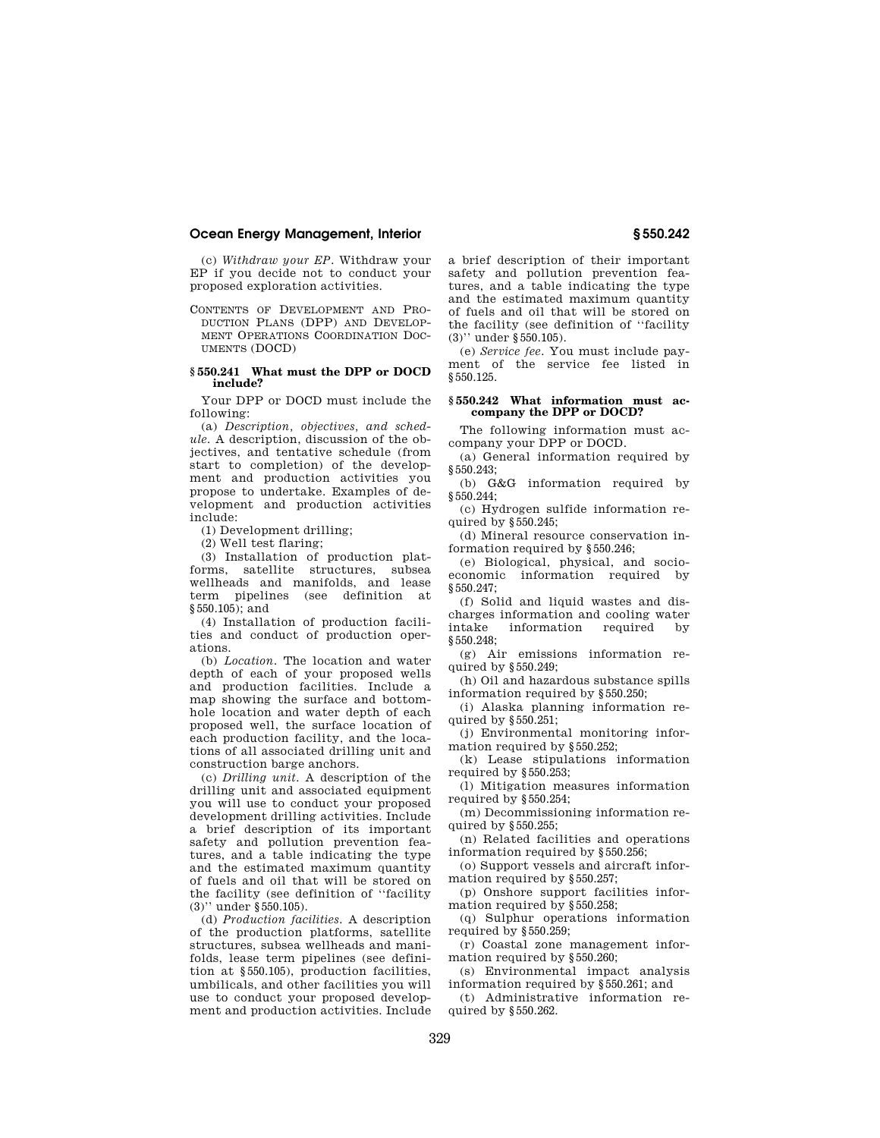(c) *Withdraw your EP.* Withdraw your EP if you decide not to conduct your proposed exploration activities.

CONTENTS OF DEVELOPMENT AND PRO-DUCTION PLANS (DPP) AND DEVELOP-MENT OPERATIONS COORDINATION DOC-UMENTS (DOCD)

## **§ 550.241 What must the DPP or DOCD include?**

Your DPP or DOCD must include the following:

(a) *Description, objectives, and schedule.* A description, discussion of the objectives, and tentative schedule (from start to completion) of the development and production activities you propose to undertake. Examples of development and production activities include:

(1) Development drilling;

(2) Well test flaring;

(3) Installation of production platforms, satellite structures, subsea wellheads and manifolds, and lease term pipelines (see definition at §550.105); and

(4) Installation of production facilities and conduct of production operations.

(b) *Location.* The location and water depth of each of your proposed wells and production facilities. Include a map showing the surface and bottomhole location and water depth of each proposed well, the surface location of each production facility, and the locations of all associated drilling unit and construction barge anchors.

(c) *Drilling unit.* A description of the drilling unit and associated equipment you will use to conduct your proposed development drilling activities. Include a brief description of its important safety and pollution prevention features, and a table indicating the type and the estimated maximum quantity of fuels and oil that will be stored on the facility (see definition of ''facility (3)'' under §550.105).

(d) *Production facilities.* A description of the production platforms, satellite structures, subsea wellheads and manifolds, lease term pipelines (see definition at §550.105), production facilities, umbilicals, and other facilities you will use to conduct your proposed development and production activities. Include

a brief description of their important safety and pollution prevention features, and a table indicating the type and the estimated maximum quantity of fuels and oil that will be stored on the facility (see definition of ''facility (3)'' under §550.105).

(e) *Service fee.* You must include payment of the service fee listed in §550.125.

## **§ 550.242 What information must accompany the DPP or DOCD?**

The following information must accompany your DPP or DOCD.

(a) General information required by §550.243;

(b) G&G information required by §550.244;

(c) Hydrogen sulfide information required by §550.245;

(d) Mineral resource conservation information required by §550.246;

(e) Biological, physical, and socioeconomic information required by §550.247;

(f) Solid and liquid wastes and discharges information and cooling water intake information required by §550.248;

(g) Air emissions information required by §550.249;

(h) Oil and hazardous substance spills information required by §550.250;

(i) Alaska planning information required by §550.251;

(j) Environmental monitoring information required by §550.252;

(k) Lease stipulations information required by §550.253;

(l) Mitigation measures information required by §550.254;

(m) Decommissioning information required by §550.255;

(n) Related facilities and operations information required by §550.256;

(o) Support vessels and aircraft information required by §550.257;

(p) Onshore support facilities information required by §550.258;

(q) Sulphur operations information required by §550.259;

(r) Coastal zone management information required by §550.260;

(s) Environmental impact analysis information required by §550.261; and

(t) Administrative information required by §550.262.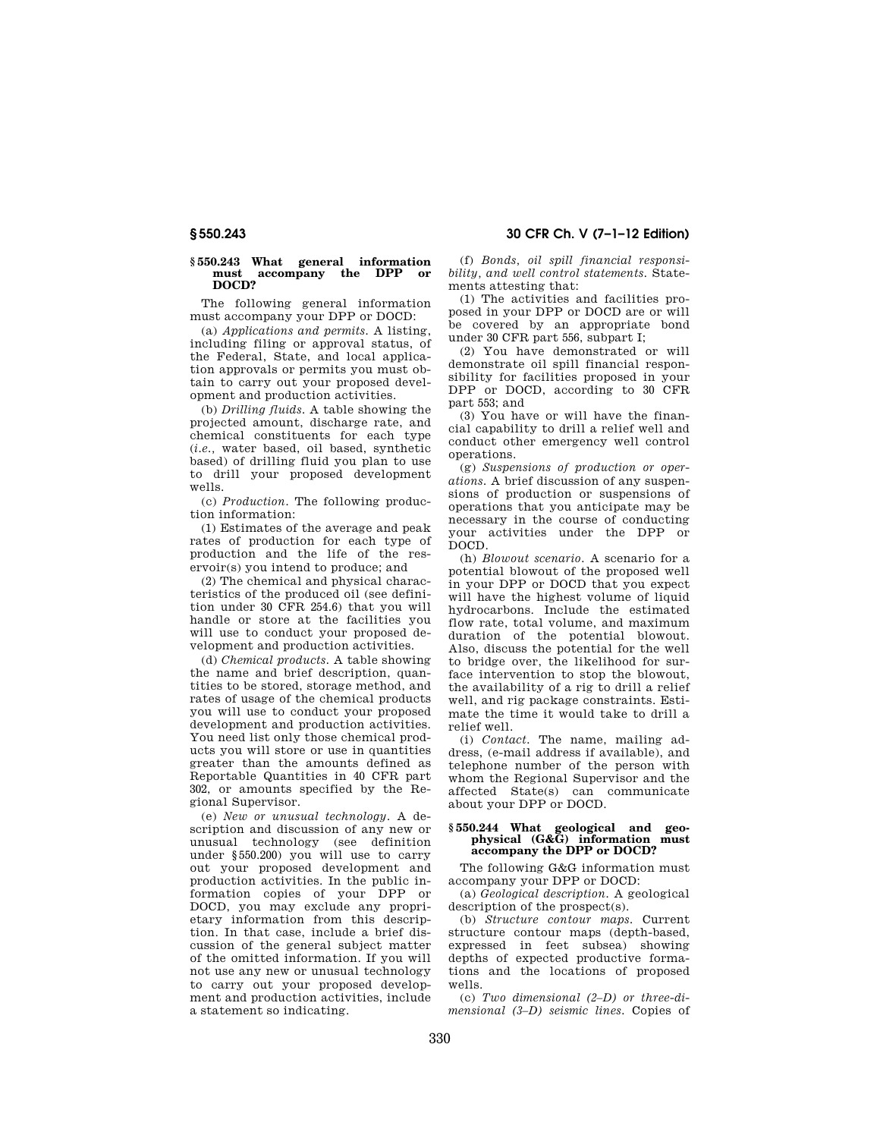#### **§ 550.243 What general information must accompany the DPP or DOCD?**

The following general information must accompany your DPP or DOCD:

(a) *Applications and permits.* A listing, including filing or approval status, of the Federal, State, and local application approvals or permits you must obtain to carry out your proposed development and production activities.

(b) *Drilling fluids.* A table showing the projected amount, discharge rate, and chemical constituents for each type (*i.e.,* water based, oil based, synthetic based) of drilling fluid you plan to use to drill your proposed development wells.

(c) *Production.* The following production information:

(1) Estimates of the average and peak rates of production for each type of production and the life of the reservoir(s) you intend to produce; and

(2) The chemical and physical characteristics of the produced oil (see definition under 30 CFR 254.6) that you will handle or store at the facilities you will use to conduct your proposed development and production activities.

(d) *Chemical products.* A table showing the name and brief description, quantities to be stored, storage method, and rates of usage of the chemical products you will use to conduct your proposed development and production activities. You need list only those chemical products you will store or use in quantities greater than the amounts defined as Reportable Quantities in 40 CFR part 302, or amounts specified by the Regional Supervisor.

(e) *New or unusual technology.* A description and discussion of any new or unusual technology (see definition under §550.200) you will use to carry out your proposed development and production activities. In the public information copies of your DPP or DOCD, you may exclude any proprietary information from this description. In that case, include a brief discussion of the general subject matter of the omitted information. If you will not use any new or unusual technology to carry out your proposed development and production activities, include a statement so indicating.

(f) *Bonds, oil spill financial responsibility, and well control statements.* Statements attesting that:

(1) The activities and facilities proposed in your DPP or DOCD are or will be covered by an appropriate bond under 30 CFR part 556, subpart I;

(2) You have demonstrated or will demonstrate oil spill financial responsibility for facilities proposed in your DPP or DOCD, according to 30 CFR part 553; and

(3) You have or will have the financial capability to drill a relief well and conduct other emergency well control operations.

(g) *Suspensions of production or operations.* A brief discussion of any suspensions of production or suspensions of operations that you anticipate may be necessary in the course of conducting your activities under the DPP or DOCD.

(h) *Blowout scenario.* A scenario for a potential blowout of the proposed well in your DPP or DOCD that you expect will have the highest volume of liquid hydrocarbons. Include the estimated flow rate, total volume, and maximum duration of the potential blowout. Also, discuss the potential for the well to bridge over, the likelihood for surface intervention to stop the blowout, the availability of a rig to drill a relief well, and rig package constraints. Estimate the time it would take to drill a relief well.

(i) *Contact.* The name, mailing address, (e-mail address if available), and telephone number of the person with whom the Regional Supervisor and the affected State(s) can communicate about your DPP or DOCD.

## **§ 550.244 What geological and geophysical (G&G) information must accompany the DPP or DOCD?**

The following G&G information must accompany your DPP or DOCD:

(a) *Geological description.* A geological description of the prospect(s).

(b) *Structure contour maps.* Current structure contour maps (depth-based, expressed in feet subsea) showing depths of expected productive formations and the locations of proposed wells.

(c) *Two dimensional (2–D) or three-dimensional (3–D) seismic lines.* Copies of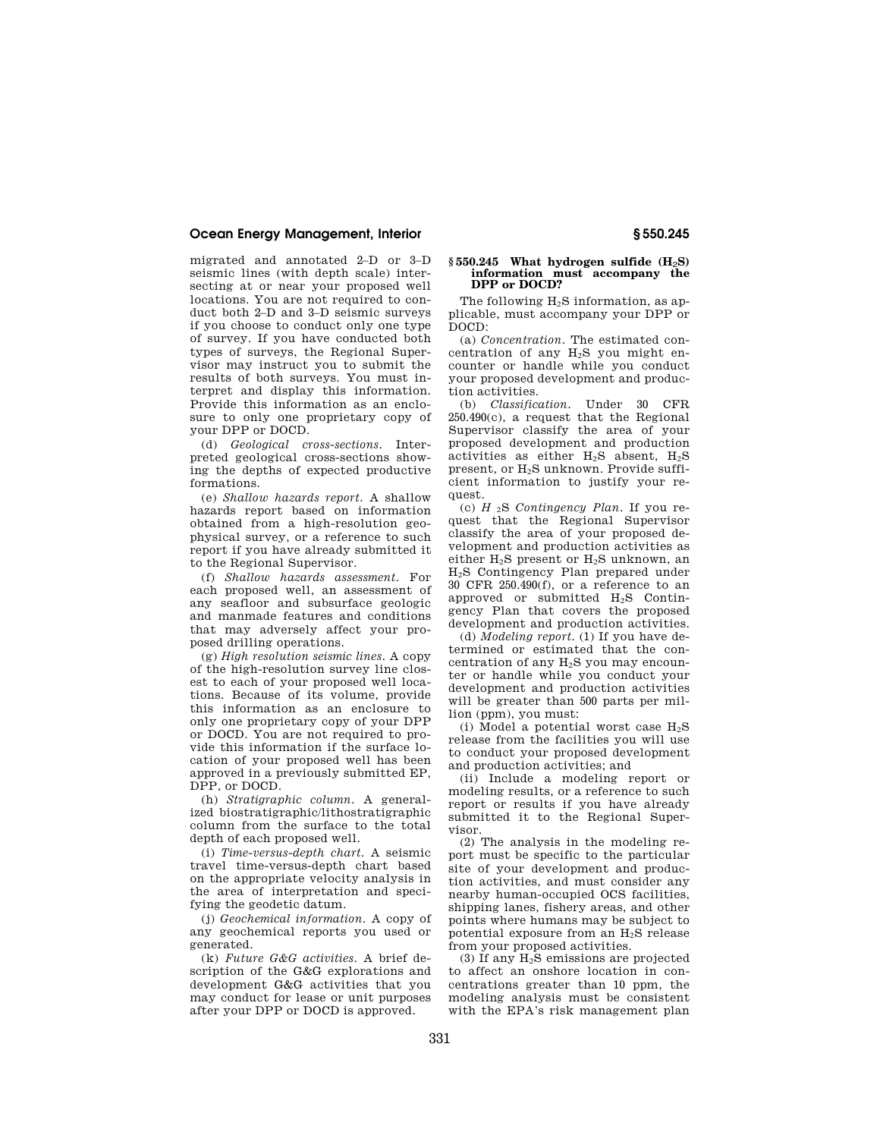migrated and annotated 2–D or 3–D seismic lines (with depth scale) intersecting at or near your proposed well locations. You are not required to conduct both 2–D and 3–D seismic surveys if you choose to conduct only one type of survey. If you have conducted both types of surveys, the Regional Supervisor may instruct you to submit the results of both surveys. You must interpret and display this information. Provide this information as an enclosure to only one proprietary copy of your DPP or DOCD.

(d) *Geological cross-sections.* Interpreted geological cross-sections showing the depths of expected productive formations.

(e) *Shallow hazards report.* A shallow hazards report based on information obtained from a high-resolution geophysical survey, or a reference to such report if you have already submitted it to the Regional Supervisor.

(f) *Shallow hazards assessment.* For each proposed well, an assessment of any seafloor and subsurface geologic and manmade features and conditions that may adversely affect your proposed drilling operations.

(g) *High resolution seismic lines.* A copy of the high-resolution survey line closest to each of your proposed well locations. Because of its volume, provide this information as an enclosure to only one proprietary copy of your DPP or DOCD. You are not required to provide this information if the surface location of your proposed well has been approved in a previously submitted EP, DPP, or DOCD.

(h) *Stratigraphic column.* A generalized biostratigraphic/lithostratigraphic column from the surface to the total depth of each proposed well.

(i) *Time-versus-depth chart.* A seismic travel time-versus-depth chart based on the appropriate velocity analysis in the area of interpretation and specifying the geodetic datum.

(j) *Geochemical information.* A copy of any geochemical reports you used or generated.

(k) *Future G&G activities.* A brief description of the G&G explorations and development G&G activities that you may conduct for lease or unit purposes after your DPP or DOCD is approved.

## § 550.245 What hydrogen sulfide (H<sub>2</sub>S) **information must accompany the DPP or DOCD?**

The following  $H_2S$  information, as applicable, must accompany your DPP or DOCD:

(a) *Concentration.* The estimated concentration of any  $H_2S$  you might encounter or handle while you conduct your proposed development and production activities.

(b) *Classification.* Under 30 CFR 250.490(c), a request that the Regional Supervisor classify the area of your proposed development and production activities as either  $H_2S$  absent,  $H_2S$ present, or H2S unknown. Provide sufficient information to justify your request.

(c) *H* 2S *Contingency Plan*. If you request that the Regional Supervisor classify the area of your proposed development and production activities as either  $H_2S$  present or  $H_2S$  unknown, an H2S Contingency Plan prepared under 30 CFR 250.490(f), or a reference to an approved or submitted H2S Contingency Plan that covers the proposed development and production activities.

(d) *Modeling report.* (1) If you have determined or estimated that the concentration of any H2S you may encounter or handle while you conduct your development and production activities will be greater than 500 parts per million (ppm), you must:

(i) Model a potential worst case  $H_2S$ release from the facilities you will use to conduct your proposed development and production activities; and

(ii) Include a modeling report or modeling results, or a reference to such report or results if you have already submitted it to the Regional Supervisor.

(2) The analysis in the modeling report must be specific to the particular site of your development and production activities, and must consider any nearby human-occupied OCS facilities, shipping lanes, fishery areas, and other points where humans may be subject to potential exposure from an H2S release from your proposed activities.

(3) If any  $H_2S$  emissions are projected to affect an onshore location in concentrations greater than 10 ppm, the modeling analysis must be consistent with the EPA's risk management plan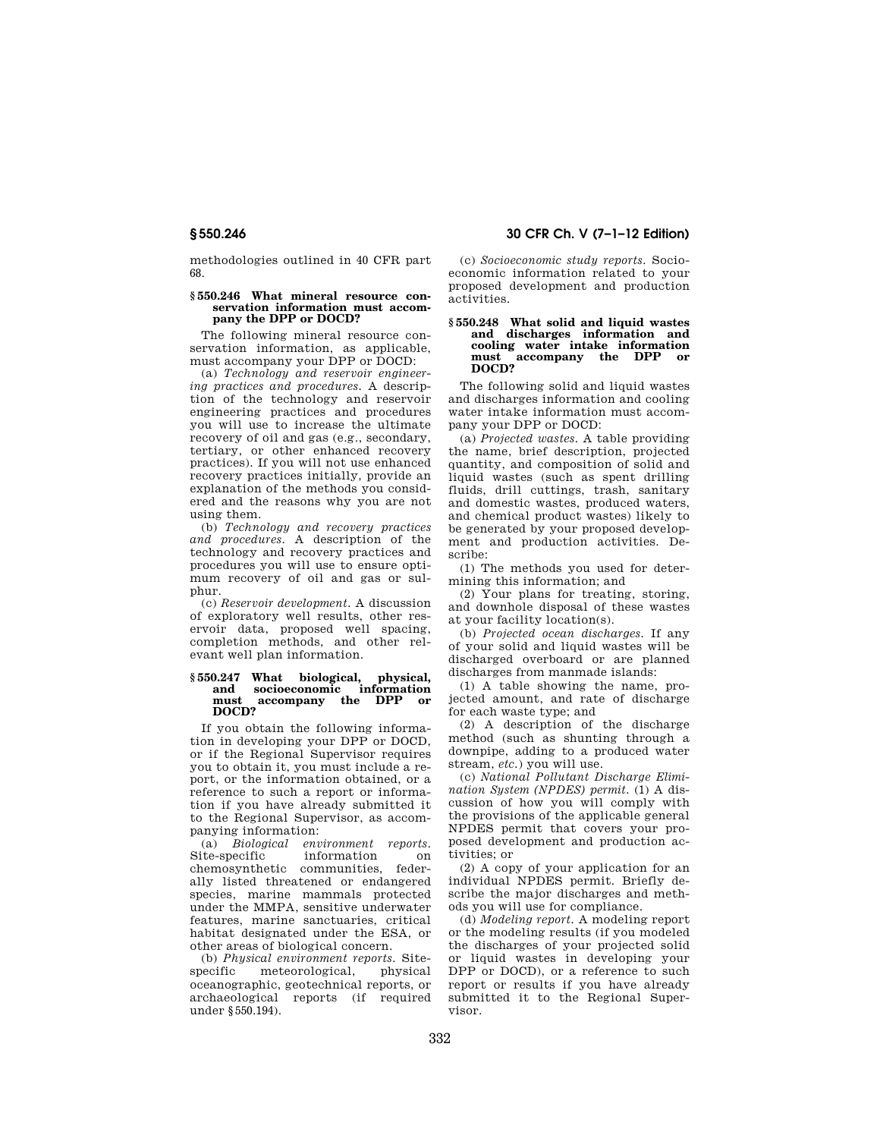methodologies outlined in 40 CFR part 68.

## **§ 550.246 What mineral resource conservation information must accompany the DPP or DOCD?**

The following mineral resource conservation information, as applicable, must accompany your DPP or DOCD:

(a) *Technology and reservoir engineering practices and procedures.* A description of the technology and reservoir engineering practices and procedures you will use to increase the ultimate recovery of oil and gas (e.g., secondary, tertiary, or other enhanced recovery practices). If you will not use enhanced recovery practices initially, provide an explanation of the methods you considered and the reasons why you are not using them.

(b) *Technology and recovery practices and procedures.* A description of the technology and recovery practices and procedures you will use to ensure optimum recovery of oil and gas or sulphur.

(c) *Reservoir development.* A discussion of exploratory well results, other reservoir data, proposed well spacing, completion methods, and other relevant well plan information.

## **§ 550.247 What biological, physical, and socioeconomic information must accompany the DPP or DOCD?**

If you obtain the following information in developing your DPP or DOCD, or if the Regional Supervisor requires you to obtain it, you must include a report, or the information obtained, or a reference to such a report or information if you have already submitted it to the Regional Supervisor, as accompanying information:<br>(a) Biological environment reports

(a) *Biological* Site-specific information on chemosynthetic communities, federally listed threatened or endangered species, marine mammals protected under the MMPA, sensitive underwater features, marine sanctuaries, critical habitat designated under the ESA, or other areas of biological concern.

(b) *Physical environment reports.* Site-<br>specific meteorological, physical meteorological, oceanographic, geotechnical reports, or archaeological reports (if required under §550.194).

## **§ 550.246 30 CFR Ch. V (7–1–12 Edition)**

(c) *Socioeconomic study reports.* Socioeconomic information related to your proposed development and production activities.

## **§ 550.248 What solid and liquid wastes and discharges information and cooling water intake information must accompany the DPP or DOCD?**

The following solid and liquid wastes and discharges information and cooling water intake information must accompany your DPP or DOCD:

(a) *Projected wastes.* A table providing the name, brief description, projected quantity, and composition of solid and liquid wastes (such as spent drilling fluids, drill cuttings, trash, sanitary and domestic wastes, produced waters, and chemical product wastes) likely to be generated by your proposed development and production activities. Describe:

(1) The methods you used for determining this information; and

(2) Your plans for treating, storing, and downhole disposal of these wastes at your facility location(s).

(b) *Projected ocean discharges.* If any of your solid and liquid wastes will be discharged overboard or are planned discharges from manmade islands:

(1) A table showing the name, projected amount, and rate of discharge for each waste type; and

(2) A description of the discharge method (such as shunting through a downpipe, adding to a produced water stream, *etc.*) you will use.

(c) *National Pollutant Discharge Elimination System (NPDES) permit.* (1) A discussion of how you will comply with the provisions of the applicable general NPDES permit that covers your proposed development and production activities; or

(2) A copy of your application for an individual NPDES permit. Briefly describe the major discharges and methods you will use for compliance.

(d) *Modeling report.* A modeling report or the modeling results (if you modeled the discharges of your projected solid or liquid wastes in developing your DPP or DOCD), or a reference to such report or results if you have already submitted it to the Regional Supervisor.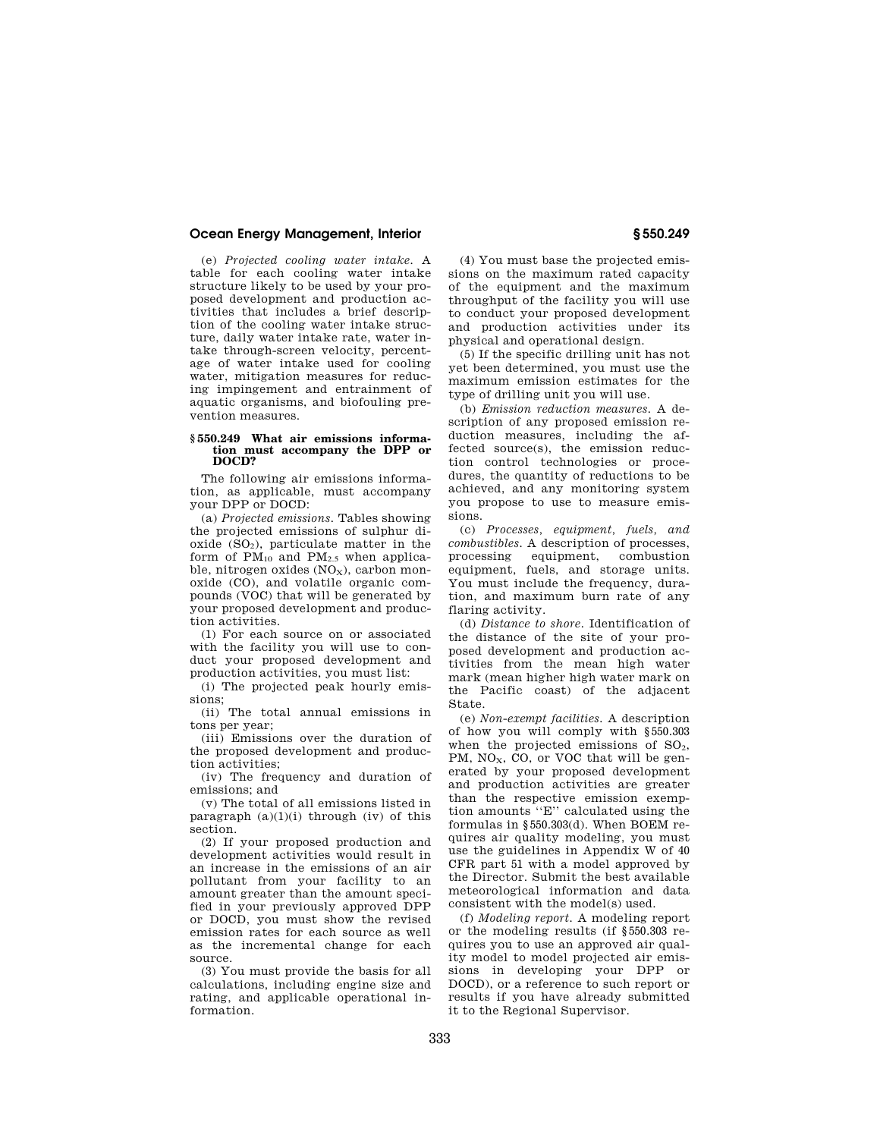(e) *Projected cooling water intake.* A table for each cooling water intake structure likely to be used by your proposed development and production activities that includes a brief description of the cooling water intake structure, daily water intake rate, water intake through-screen velocity, percentage of water intake used for cooling water, mitigation measures for reducing impingement and entrainment of aquatic organisms, and biofouling prevention measures.

#### **§ 550.249 What air emissions information must accompany the DPP or DOCD?**

The following air emissions information, as applicable, must accompany your DPP or DOCD:

(a) *Projected emissions.* Tables showing the projected emissions of sulphur dioxide  $(SO<sub>2</sub>)$ , particulate matter in the form of  $PM_{10}$  and  $PM_{2.5}$  when applicable, nitrogen oxides  $(NO<sub>x</sub>)$ , carbon monoxide (CO), and volatile organic compounds (VOC) that will be generated by your proposed development and production activities.

(1) For each source on or associated with the facility you will use to conduct your proposed development and production activities, you must list:

(i) The projected peak hourly emissions;

(ii) The total annual emissions in tons per year;

(iii) Emissions over the duration of the proposed development and production activities;

(iv) The frequency and duration of emissions; and

(v) The total of all emissions listed in paragraph  $(a)(1)(i)$  through  $(iv)$  of this section.

(2) If your proposed production and development activities would result in an increase in the emissions of an air pollutant from your facility to an amount greater than the amount specified in your previously approved DPP or DOCD, you must show the revised emission rates for each source as well as the incremental change for each source.

(3) You must provide the basis for all calculations, including engine size and rating, and applicable operational information.

(4) You must base the projected emissions on the maximum rated capacity of the equipment and the maximum throughput of the facility you will use to conduct your proposed development and production activities under its physical and operational design.

(5) If the specific drilling unit has not yet been determined, you must use the maximum emission estimates for the type of drilling unit you will use.

(b) *Emission reduction measures.* A description of any proposed emission reduction measures, including the affected source(s), the emission reduction control technologies or procedures, the quantity of reductions to be achieved, and any monitoring system you propose to use to measure emissions.

(c) *Processes, equipment, fuels, and combustibles.* A description of processes, processing equipment, combustion equipment, fuels, and storage units. You must include the frequency, duration, and maximum burn rate of any flaring activity.

(d) *Distance to shore.* Identification of the distance of the site of your proposed development and production activities from the mean high water mark (mean higher high water mark on the Pacific coast) of the adjacent State.

(e) *Non-exempt facilities.* A description of how you will comply with §550.303 when the projected emissions of  $SO<sub>2</sub>$ , PM, NO<sub>x</sub>, CO, or VOC that will be generated by your proposed development and production activities are greater than the respective emission exemption amounts ''E'' calculated using the formulas in §550.303(d). When BOEM requires air quality modeling, you must use the guidelines in Appendix W of 40 CFR part 51 with a model approved by the Director. Submit the best available meteorological information and data consistent with the model(s) used.

(f) *Modeling report.* A modeling report or the modeling results (if §550.303 requires you to use an approved air quality model to model projected air emissions in developing your DPP or DOCD), or a reference to such report or results if you have already submitted it to the Regional Supervisor.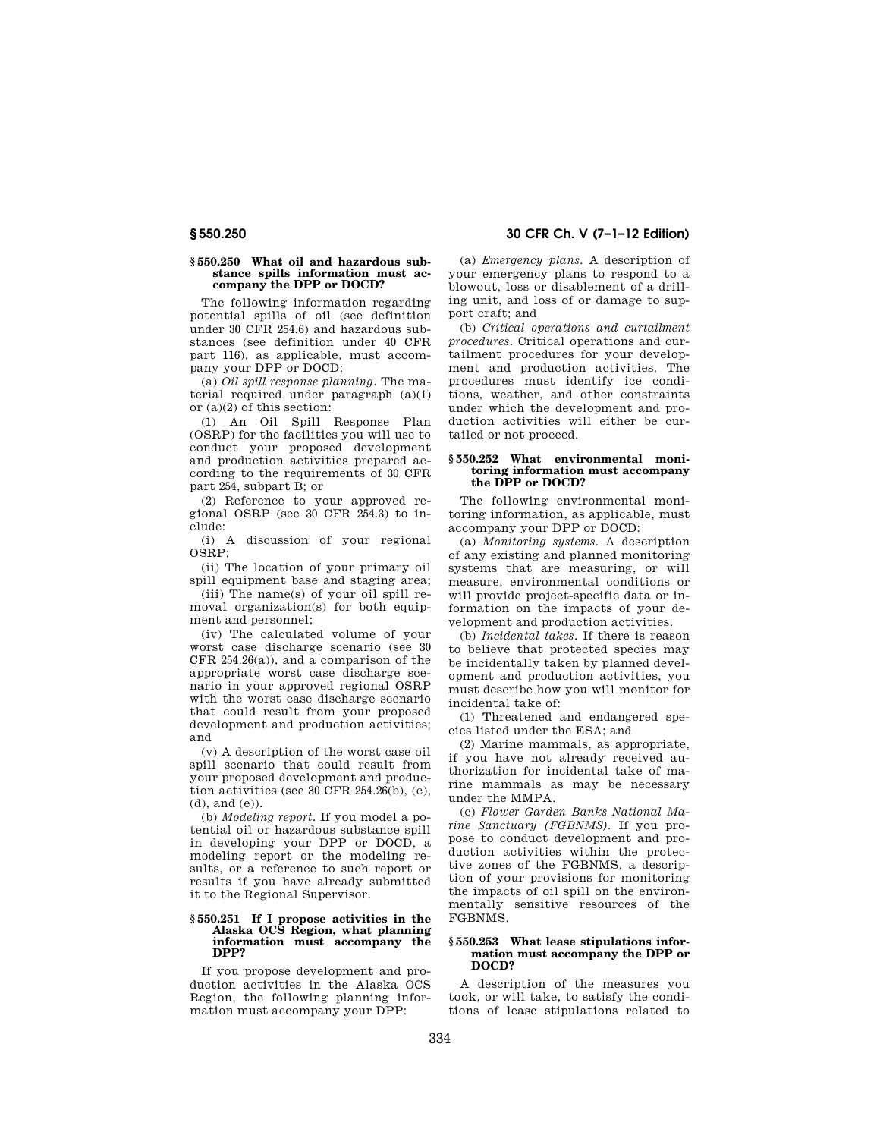## **§ 550.250 What oil and hazardous substance spills information must accompany the DPP or DOCD?**

The following information regarding potential spills of oil (see definition under 30 CFR 254.6) and hazardous substances (see definition under 40 CFR part 116), as applicable, must accompany your DPP or DOCD:

(a) *Oil spill response planning.* The material required under paragraph (a)(1) or (a)(2) of this section:

(1) An Oil Spill Response Plan (OSRP) for the facilities you will use to conduct your proposed development and production activities prepared according to the requirements of 30 CFR part 254, subpart B; or

(2) Reference to your approved regional OSRP (see 30 CFR 254.3) to include:

(i) A discussion of your regional OSRP;

(ii) The location of your primary oil spill equipment base and staging area;

(iii) The name(s) of your oil spill removal organization(s) for both equipment and personnel;

(iv) The calculated volume of your worst case discharge scenario (see 30 CFR 254.26(a)), and a comparison of the appropriate worst case discharge scenario in your approved regional OSRP with the worst case discharge scenario that could result from your proposed development and production activities; and

(v) A description of the worst case oil spill scenario that could result from your proposed development and production activities (see  $30$  CFR 254.26(b), (c), (d), and (e)).

(b) *Modeling report.* If you model a potential oil or hazardous substance spill in developing your DPP or DOCD, a modeling report or the modeling results, or a reference to such report or results if you have already submitted it to the Regional Supervisor.

#### **§ 550.251 If I propose activities in the Alaska OCS Region, what planning information must accompany the DPP?**

If you propose development and production activities in the Alaska OCS Region, the following planning information must accompany your DPP:

(a) *Emergency plans.* A description of your emergency plans to respond to a blowout, loss or disablement of a drilling unit, and loss of or damage to support craft; and

(b) *Critical operations and curtailment procedures.* Critical operations and curtailment procedures for your development and production activities. The procedures must identify ice conditions, weather, and other constraints under which the development and production activities will either be curtailed or not proceed.

## **§ 550.252 What environmental monitoring information must accompany the DPP or DOCD?**

The following environmental monitoring information, as applicable, must accompany your DPP or DOCD:

(a) *Monitoring systems.* A description of any existing and planned monitoring systems that are measuring, or will measure, environmental conditions or will provide project-specific data or information on the impacts of your development and production activities.

(b) *Incidental takes.* If there is reason to believe that protected species may be incidentally taken by planned development and production activities, you must describe how you will monitor for incidental take of:

(1) Threatened and endangered species listed under the ESA; and

(2) Marine mammals, as appropriate, if you have not already received authorization for incidental take of marine mammals as may be necessary under the MMPA.

(c) *Flower Garden Banks National Marine Sanctuary (FGBNMS).* If you propose to conduct development and production activities within the protective zones of the FGBNMS, a description of your provisions for monitoring the impacts of oil spill on the environmentally sensitive resources of the FGBNMS.

## **§ 550.253 What lease stipulations information must accompany the DPP or DOCD?**

A description of the measures you took, or will take, to satisfy the conditions of lease stipulations related to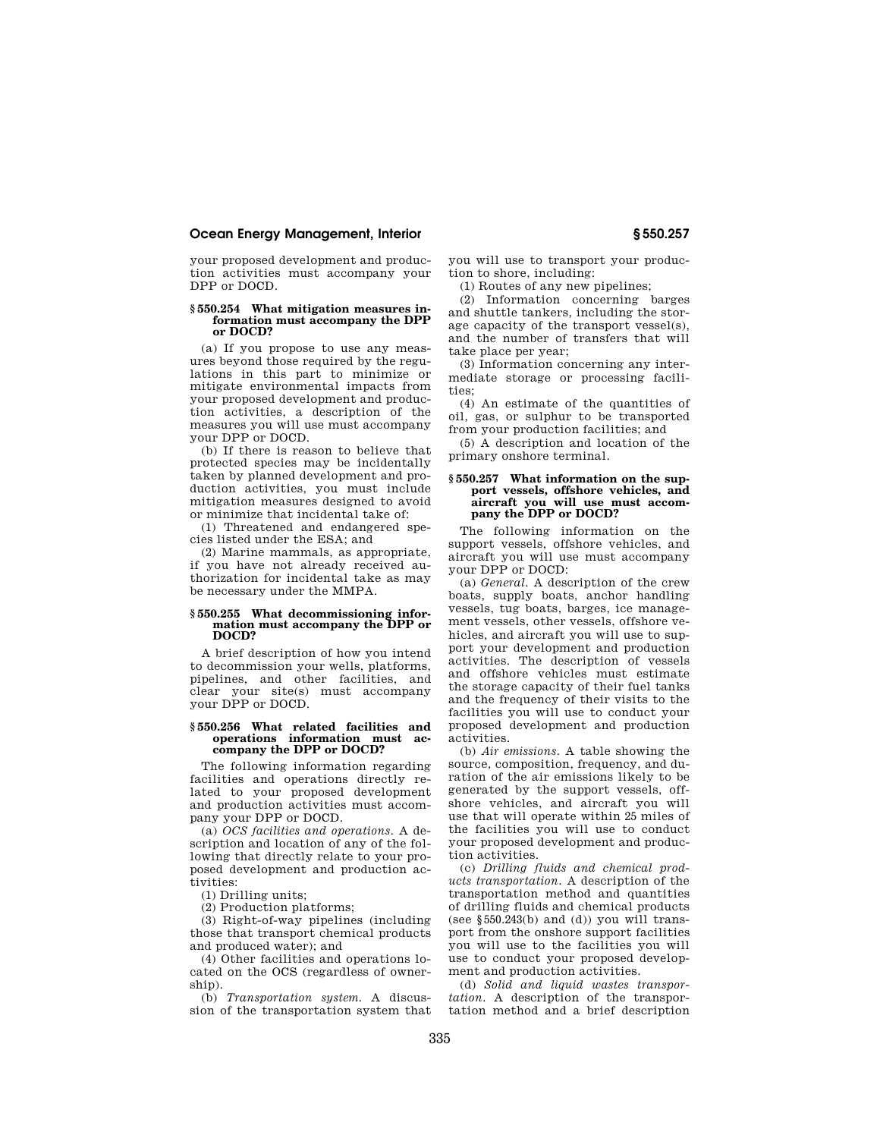your proposed development and production activities must accompany your DPP or DOCD.

## **§ 550.254 What mitigation measures information must accompany the DPP or DOCD?**

(a) If you propose to use any measures beyond those required by the regulations in this part to minimize or mitigate environmental impacts from your proposed development and production activities, a description of the measures you will use must accompany your DPP or DOCD.

(b) If there is reason to believe that protected species may be incidentally taken by planned development and production activities, you must include mitigation measures designed to avoid or minimize that incidental take of:

(1) Threatened and endangered species listed under the ESA; and

(2) Marine mammals, as appropriate, if you have not already received authorization for incidental take as may be necessary under the MMPA.

#### **§ 550.255 What decommissioning information must accompany the DPP or DOCD?**

A brief description of how you intend to decommission your wells, platforms, pipelines, and other facilities, and clear your site(s) must accompany your DPP or DOCD.

## **§ 550.256 What related facilities and operations information must ac-company the DPP or DOCD?**

The following information regarding facilities and operations directly related to your proposed development and production activities must accompany your DPP or DOCD.

(a) *OCS facilities and operations.* A description and location of any of the following that directly relate to your proposed development and production activities:

(1) Drilling units;

(2) Production platforms;

(3) Right-of-way pipelines (including those that transport chemical products and produced water); and

(4) Other facilities and operations located on the OCS (regardless of ownership).

(b) *Transportation system.* A discussion of the transportation system that you will use to transport your production to shore, including:

(1) Routes of any new pipelines;

(2) Information concerning barges and shuttle tankers, including the storage capacity of the transport vessel(s), and the number of transfers that will take place per year;

(3) Information concerning any intermediate storage or processing facilities;

(4) An estimate of the quantities of oil, gas, or sulphur to be transported from your production facilities; and

(5) A description and location of the primary onshore terminal.

## **§ 550.257 What information on the support vessels, offshore vehicles, and aircraft you will use must accompany the DPP or DOCD?**

The following information on the support vessels, offshore vehicles, and aircraft you will use must accompany your DPP or DOCD:

(a) *General.* A description of the crew boats, supply boats, anchor handling vessels, tug boats, barges, ice management vessels, other vessels, offshore vehicles, and aircraft you will use to support your development and production activities. The description of vessels and offshore vehicles must estimate the storage capacity of their fuel tanks and the frequency of their visits to the facilities you will use to conduct your proposed development and production activities.

(b) *Air emissions.* A table showing the source, composition, frequency, and duration of the air emissions likely to be generated by the support vessels, offshore vehicles, and aircraft you will use that will operate within 25 miles of the facilities you will use to conduct your proposed development and production activities.

(c) *Drilling fluids and chemical products transportation.* A description of the transportation method and quantities of drilling fluids and chemical products (see  $$550.243(b)$  and (d)) you will transport from the onshore support facilities you will use to the facilities you will use to conduct your proposed development and production activities.

(d) *Solid and liquid wastes transportation.* A description of the transportation method and a brief description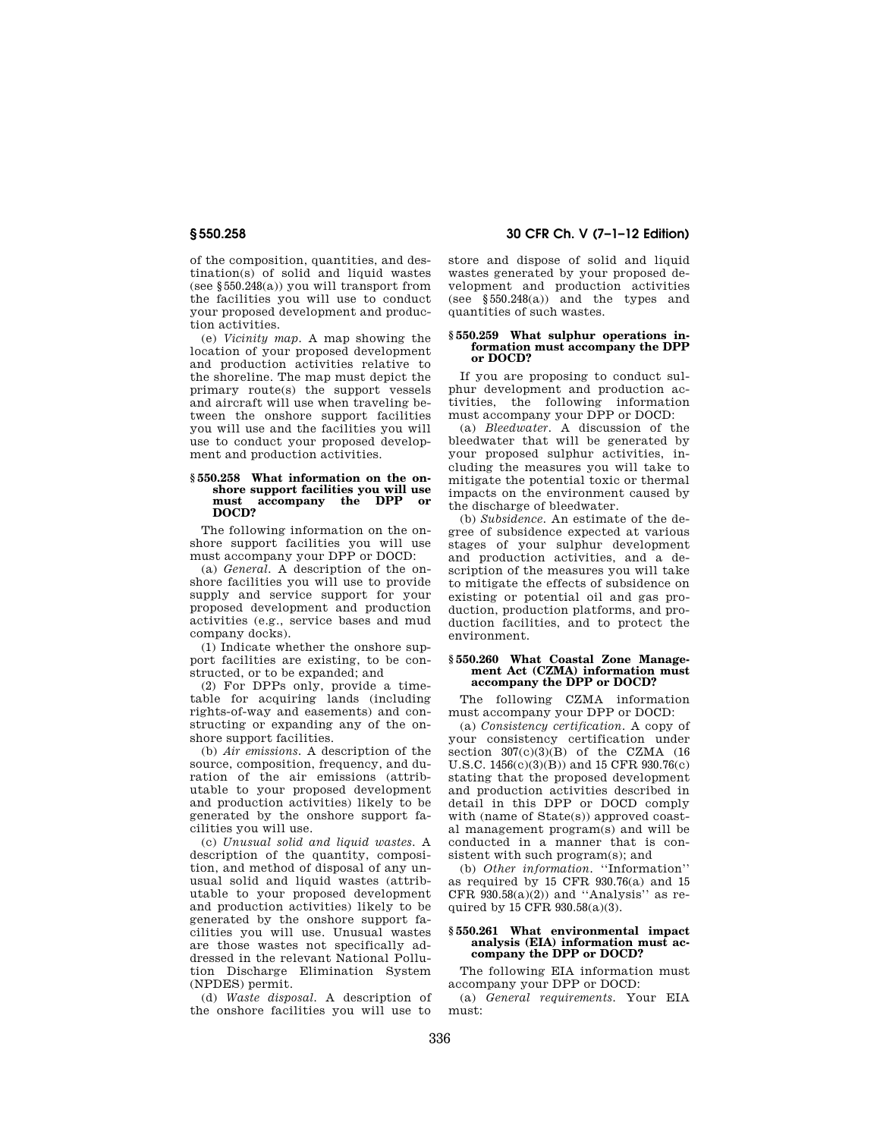of the composition, quantities, and destination(s) of solid and liquid wastes (see §550.248(a)) you will transport from the facilities you will use to conduct your proposed development and production activities.

(e) *Vicinity map.* A map showing the location of your proposed development and production activities relative to the shoreline. The map must depict the primary route(s) the support vessels and aircraft will use when traveling between the onshore support facilities you will use and the facilities you will use to conduct your proposed development and production activities.

## **§ 550.258 What information on the onshore support facilities you will use must accompany the DPP or DOCD?**

The following information on the onshore support facilities you will use must accompany your DPP or DOCD:

(a) *General.* A description of the onshore facilities you will use to provide supply and service support for your proposed development and production activities (e.g., service bases and mud company docks).

(1) Indicate whether the onshore support facilities are existing, to be constructed, or to be expanded; and

(2) For DPPs only, provide a timetable for acquiring lands (including rights-of-way and easements) and constructing or expanding any of the onshore support facilities.

(b) *Air emissions.* A description of the source, composition, frequency, and duration of the air emissions (attributable to your proposed development and production activities) likely to be generated by the onshore support facilities you will use.

(c) *Unusual solid and liquid wastes.* A description of the quantity, composition, and method of disposal of any unusual solid and liquid wastes (attributable to your proposed development and production activities) likely to be generated by the onshore support facilities you will use. Unusual wastes are those wastes not specifically addressed in the relevant National Pollution Discharge Elimination System (NPDES) permit.

(d) *Waste disposal.* A description of the onshore facilities you will use to

**§ 550.258 30 CFR Ch. V (7–1–12 Edition)** 

store and dispose of solid and liquid wastes generated by your proposed development and production activities (see §550.248(a)) and the types and quantities of such wastes.

#### **§ 550.259 What sulphur operations information must accompany the DPP or DOCD?**

If you are proposing to conduct sulphur development and production activities, the following information must accompany your DPP or DOCD:

(a) *Bleedwater.* A discussion of the bleedwater that will be generated by your proposed sulphur activities, including the measures you will take to mitigate the potential toxic or thermal impacts on the environment caused by the discharge of bleedwater.

(b) *Subsidence.* An estimate of the degree of subsidence expected at various stages of your sulphur development and production activities, and a description of the measures you will take to mitigate the effects of subsidence on existing or potential oil and gas production, production platforms, and production facilities, and to protect the environment.

## **§ 550.260 What Coastal Zone Management Act (CZMA) information must accompany the DPP or DOCD?**

The following CZMA information must accompany your DPP or DOCD:

(a) *Consistency certification.* A copy of your consistency certification under section  $307(c)(3)(B)$  of the CZMA (16 U.S.C. 1456(c)(3)(B)) and 15 CFR 930.76(c) stating that the proposed development and production activities described in detail in this DPP or DOCD comply with (name of State(s)) approved coastal management program(s) and will be conducted in a manner that is consistent with such program(s); and

(b) *Other information.* ''Information'' as required by 15 CFR 930.76(a) and 15 CFR  $930.58(a)(2)$  and "Analysis" as required by 15 CFR 930.58(a)(3).

## **§ 550.261 What environmental impact analysis (EIA) information must accompany the DPP or DOCD?**

The following EIA information must accompany your DPP or DOCD:

(a) *General requirements.* Your EIA must: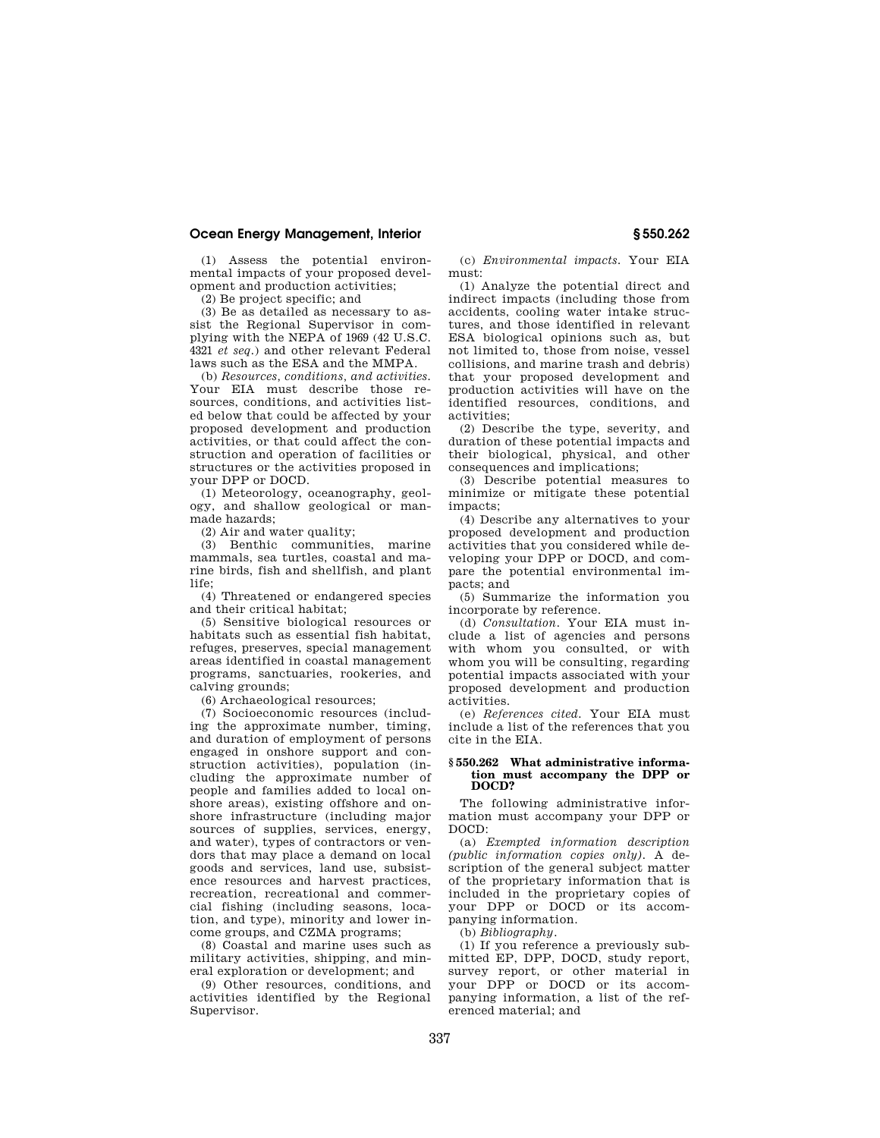(1) Assess the potential environmental impacts of your proposed development and production activities;

(2) Be project specific; and

(3) Be as detailed as necessary to assist the Regional Supervisor in complying with the NEPA of 1969 (42 U.S.C. 4321 *et seq.*) and other relevant Federal laws such as the ESA and the MMPA.

(b) *Resources, conditions, and activities.*  Your EIA must describe those resources, conditions, and activities listed below that could be affected by your proposed development and production activities, or that could affect the construction and operation of facilities or structures or the activities proposed in your DPP or DOCD.

(1) Meteorology, oceanography, geology, and shallow geological or manmade hazards;

(2) Air and water quality;

(3) Benthic communities, marine mammals, sea turtles, coastal and marine birds, fish and shellfish, and plant life;

(4) Threatened or endangered species and their critical habitat;

(5) Sensitive biological resources or habitats such as essential fish habitat, refuges, preserves, special management areas identified in coastal management programs, sanctuaries, rookeries, and calving grounds;

(6) Archaeological resources;

(7) Socioeconomic resources (including the approximate number, timing, and duration of employment of persons engaged in onshore support and construction activities), population (including the approximate number of people and families added to local onshore areas), existing offshore and onshore infrastructure (including major sources of supplies, services, energy, and water), types of contractors or vendors that may place a demand on local goods and services, land use, subsistence resources and harvest practices, recreation, recreational and commercial fishing (including seasons, location, and type), minority and lower income groups, and CZMA programs;

(8) Coastal and marine uses such as military activities, shipping, and mineral exploration or development; and

(9) Other resources, conditions, and activities identified by the Regional Supervisor.

(c) *Environmental impacts.* Your EIA must:

(1) Analyze the potential direct and indirect impacts (including those from accidents, cooling water intake structures, and those identified in relevant ESA biological opinions such as, but not limited to, those from noise, vessel collisions, and marine trash and debris) that your proposed development and production activities will have on the identified resources, conditions, and activities;

(2) Describe the type, severity, and duration of these potential impacts and their biological, physical, and other consequences and implications;

(3) Describe potential measures to minimize or mitigate these potential impacts;

(4) Describe any alternatives to your proposed development and production activities that you considered while developing your DPP or DOCD, and compare the potential environmental impacts; and

(5) Summarize the information you incorporate by reference.

(d) *Consultation.* Your EIA must include a list of agencies and persons with whom you consulted, or with whom you will be consulting, regarding potential impacts associated with your proposed development and production activities.

(e) *References cited.* Your EIA must include a list of the references that you cite in the EIA.

## **§ 550.262 What administrative information must accompany the DPP or DOCD?**

The following administrative information must accompany your DPP or DOCD:

(a) *Exempted information description (public information copies only).* A description of the general subject matter of the proprietary information that is included in the proprietary copies of your DPP or DOCD or its accompanying information.

(b) *Bibliography.* 

(1) If you reference a previously submitted EP, DPP, DOCD, study report, survey report, or other material in your DPP or DOCD or its accompanying information, a list of the referenced material; and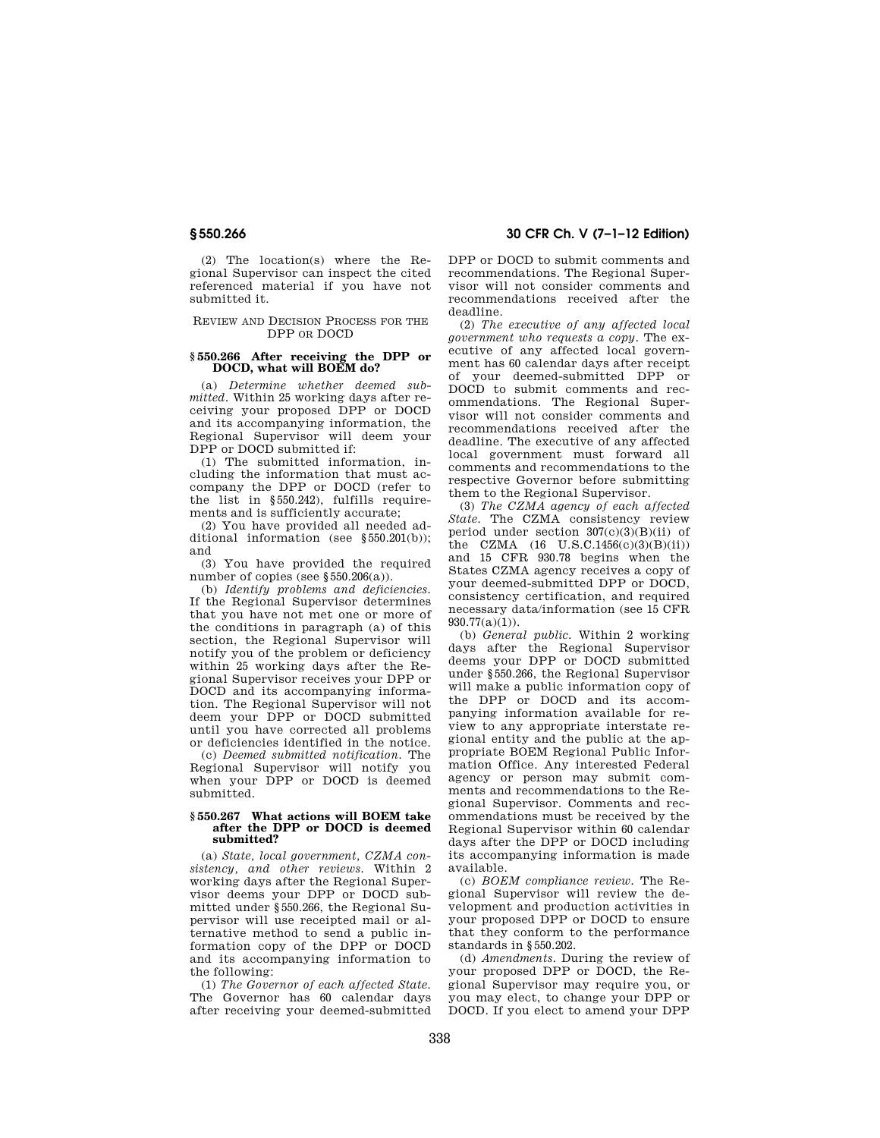(2) The location(s) where the Regional Supervisor can inspect the cited referenced material if you have not submitted it.

## REVIEW AND DECISION PROCESS FOR THE DPP OR DOCD

# **§ 550.266 After receiving the DPP or DOCD, what will BOEM do?**

(a) *Determine whether deemed submitted.* Within 25 working days after receiving your proposed DPP or DOCD and its accompanying information, the Regional Supervisor will deem your DPP or DOCD submitted if:

(1) The submitted information, including the information that must accompany the DPP or DOCD (refer to the list in §550.242), fulfills requirements and is sufficiently accurate;

(2) You have provided all needed additional information (see §550.201(b)); and

(3) You have provided the required number of copies (see §550.206(a)).

(b) *Identify problems and deficiencies.*  If the Regional Supervisor determines that you have not met one or more of the conditions in paragraph (a) of this section, the Regional Supervisor will notify you of the problem or deficiency within 25 working days after the Regional Supervisor receives your DPP or DOCD and its accompanying information. The Regional Supervisor will not deem your DPP or DOCD submitted until you have corrected all problems or deficiencies identified in the notice.

(c) *Deemed submitted notification.* The Regional Supervisor will notify you when your DPP or DOCD is deemed submitted.

## **§ 550.267 What actions will BOEM take after the DPP or DOCD is deemed submitted?**

(a) *State, local government, CZMA consistency, and other reviews.* Within 2 working days after the Regional Supervisor deems your DPP or DOCD submitted under §550.266, the Regional Supervisor will use receipted mail or alternative method to send a public information copy of the DPP or DOCD and its accompanying information to the following:

(1) *The Governor of each affected State.*  The Governor has 60 calendar days after receiving your deemed-submitted

**§ 550.266 30 CFR Ch. V (7–1–12 Edition)** 

DPP or DOCD to submit comments and recommendations. The Regional Supervisor will not consider comments and recommendations received after the deadline.

(2) *The executive of any affected local government who requests a copy.* The executive of any affected local government has 60 calendar days after receipt of your deemed-submitted DPP or DOCD to submit comments and recommendations. The Regional Supervisor will not consider comments and recommendations received after the deadline. The executive of any affected local government must forward all comments and recommendations to the respective Governor before submitting them to the Regional Supervisor.

(3) *The CZMA agency of each affected State.* The CZMA consistency review period under section  $307(c)(3)(B)(ii)$  of the CZMA  $(16 \text{ U.S.C.1456(c)(3)(B)(ii)})$ and 15 CFR 930.78 begins when the States CZMA agency receives a copy of your deemed-submitted DPP or DOCD, consistency certification, and required necessary data/information (see 15 CFR  $930.77(a)(1)$ .

(b) *General public.* Within 2 working days after the Regional Supervisor deems your DPP or DOCD submitted under §550.266, the Regional Supervisor will make a public information copy of the DPP or DOCD and its accompanying information available for review to any appropriate interstate regional entity and the public at the appropriate BOEM Regional Public Information Office. Any interested Federal agency or person may submit comments and recommendations to the Regional Supervisor. Comments and recommendations must be received by the Regional Supervisor within 60 calendar days after the DPP or DOCD including its accompanying information is made available.

(c) *BOEM compliance review.* The Regional Supervisor will review the development and production activities in your proposed DPP or DOCD to ensure that they conform to the performance standards in §550.202.

(d) *Amendments.* During the review of your proposed DPP or DOCD, the Regional Supervisor may require you, or you may elect, to change your DPP or DOCD. If you elect to amend your DPP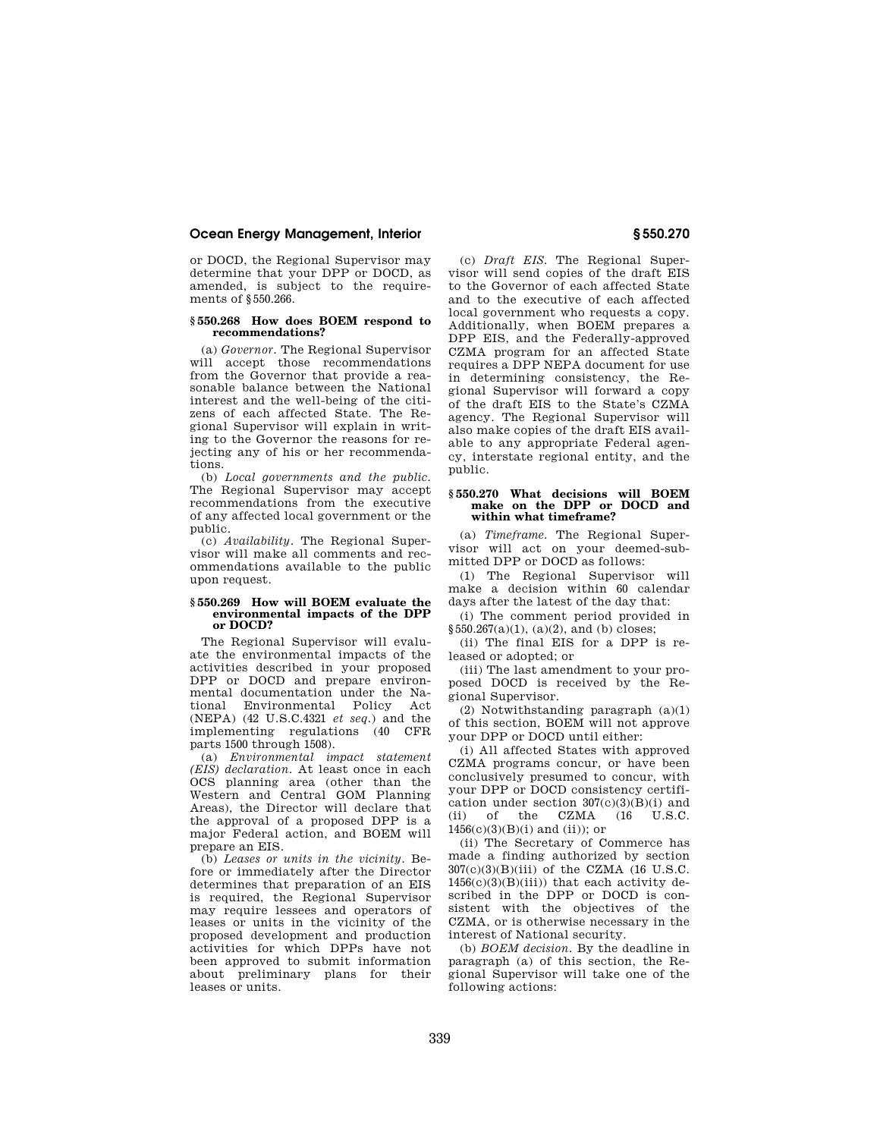or DOCD, the Regional Supervisor may determine that your DPP or DOCD, as amended, is subject to the requirements of §550.266.

## **§ 550.268 How does BOEM respond to recommendations?**

(a) *Governor.* The Regional Supervisor will accept those recommendations from the Governor that provide a reasonable balance between the National interest and the well-being of the citizens of each affected State. The Regional Supervisor will explain in writing to the Governor the reasons for rejecting any of his or her recommendations.

(b) *Local governments and the public.*  The Regional Supervisor may accept recommendations from the executive of any affected local government or the public.

(c) *Availability.* The Regional Supervisor will make all comments and recommendations available to the public upon request.

## **§ 550.269 How will BOEM evaluate the environmental impacts of the DPP or DOCD?**

The Regional Supervisor will evaluate the environmental impacts of the activities described in your proposed DPP or DOCD and prepare environmental documentation under the National Environmental Policy Act (NEPA) (42 U.S.C.4321 *et seq.*) and the implementing regulations (40 CFR parts 1500 through 1508).

(a) *Environmental impact statement (EIS) declaration.* At least once in each OCS planning area (other than the Western and Central GOM Planning Areas), the Director will declare that the approval of a proposed DPP is a major Federal action, and BOEM will prepare an EIS.

(b) *Leases or units in the vicinity.* Before or immediately after the Director determines that preparation of an EIS is required, the Regional Supervisor may require lessees and operators of leases or units in the vicinity of the proposed development and production activities for which DPPs have not been approved to submit information about preliminary plans for their leases or units.

(c) *Draft EIS.* The Regional Supervisor will send copies of the draft EIS to the Governor of each affected State and to the executive of each affected local government who requests a copy. Additionally, when BOEM prepares a DPP EIS, and the Federally-approved CZMA program for an affected State requires a DPP NEPA document for use in determining consistency, the Regional Supervisor will forward a copy of the draft EIS to the State's CZMA agency. The Regional Supervisor will also make copies of the draft EIS available to any appropriate Federal agency, interstate regional entity, and the public.

## **§ 550.270 What decisions will BOEM make on the DPP or DOCD and within what timeframe?**

(a) *Timeframe.* The Regional Supervisor will act on your deemed-submitted DPP or DOCD as follows:

(1) The Regional Supervisor will make a decision within 60 calendar days after the latest of the day that:

(i) The comment period provided in  $§550.267(a)(1), (a)(2), and (b) closes;$ 

(ii) The final EIS for a DPP is released or adopted; or

(iii) The last amendment to your proposed DOCD is received by the Regional Supervisor.

(2) Notwithstanding paragraph (a)(1) of this section, BOEM will not approve your DPP or DOCD until either:

(i) All affected States with approved CZMA programs concur, or have been conclusively presumed to concur, with your DPP or DOCD consistency certification under section  $307(c)(3)(B)(i)$  and (ii) of the CZMA (16 U.S.C. 1456(c)(3)(B)(i) and (ii)); or

(ii) The Secretary of Commerce has made a finding authorized by section 307(c)(3)(B)(iii) of the CZMA (16 U.S.C.  $1456(c)(3)(B)(iii)$ ) that each activity described in the DPP or DOCD is consistent with the objectives of the CZMA, or is otherwise necessary in the interest of National security.

(b) *BOEM decision.* By the deadline in paragraph (a) of this section, the Regional Supervisor will take one of the following actions: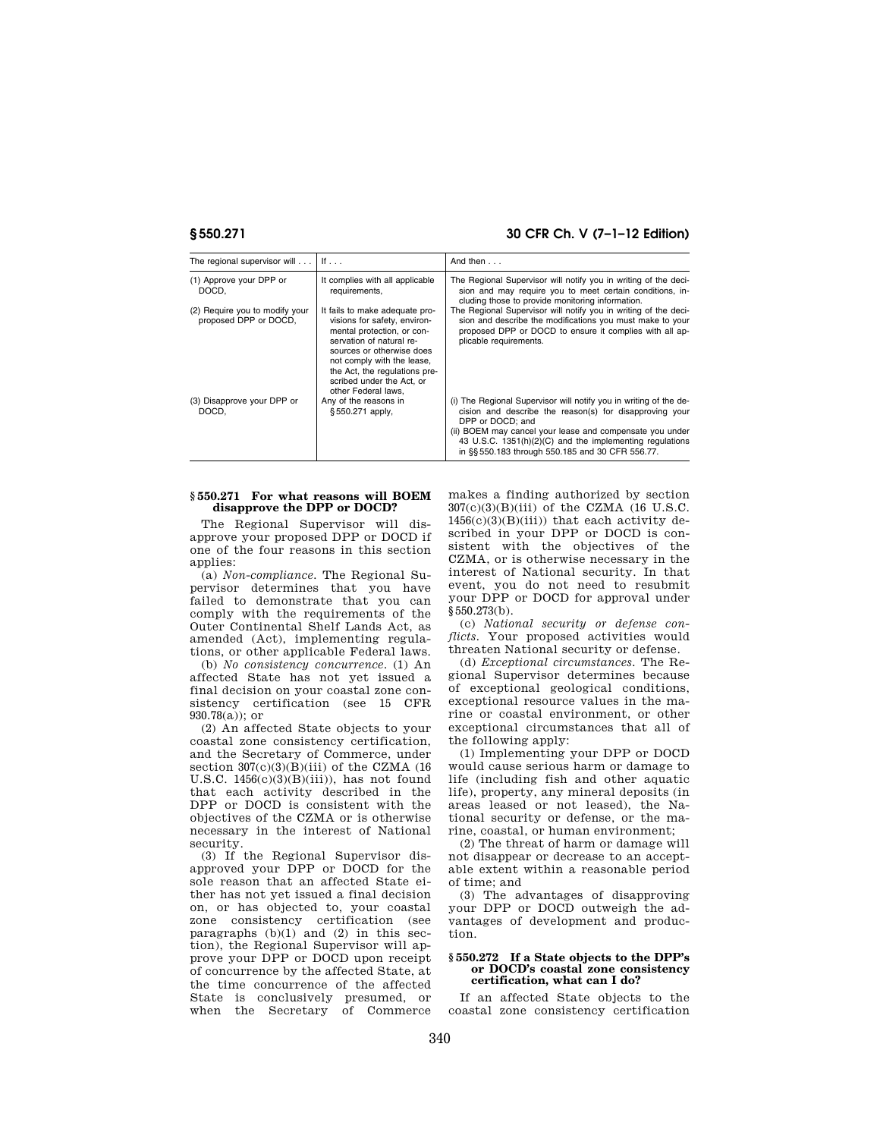## **§ 550.271 30 CFR Ch. V (7–1–12 Edition)**

| The regional supervisor will                            | If $\ldots$                                                                                                                                                                                                                                                              | And then $\ldots$                                                                                                                                                                                                                                                                                                            |
|---------------------------------------------------------|--------------------------------------------------------------------------------------------------------------------------------------------------------------------------------------------------------------------------------------------------------------------------|------------------------------------------------------------------------------------------------------------------------------------------------------------------------------------------------------------------------------------------------------------------------------------------------------------------------------|
| (1) Approve your DPP or<br>DOCD.                        | It complies with all applicable<br>requirements,                                                                                                                                                                                                                         | The Regional Supervisor will notify you in writing of the deci-<br>sion and may require you to meet certain conditions, in-<br>cluding those to provide monitoring information.                                                                                                                                              |
| (2) Require you to modify your<br>proposed DPP or DOCD, | It fails to make adequate pro-<br>visions for safety, environ-<br>mental protection, or con-<br>servation of natural re-<br>sources or otherwise does<br>not comply with the lease,<br>the Act, the regulations pre-<br>scribed under the Act. or<br>other Federal laws. | The Regional Supervisor will notify you in writing of the deci-<br>sion and describe the modifications you must make to your<br>proposed DPP or DOCD to ensure it complies with all ap-<br>plicable requirements.                                                                                                            |
| (3) Disapprove your DPP or<br>DOCD.                     | Any of the reasons in<br>§550.271 apply,                                                                                                                                                                                                                                 | (i) The Regional Supervisor will notify you in writing of the de-<br>cision and describe the reason(s) for disapproving your<br>DPP or DOCD: and<br>(ii) BOEM may cancel your lease and compensate you under<br>43 U.S.C. 1351(h)(2)(C) and the implementing regulations<br>in §§ 550.183 through 550.185 and 30 CFR 556.77. |

## **§ 550.271 For what reasons will BOEM disapprove the DPP or DOCD?**

The Regional Supervisor will disapprove your proposed DPP or DOCD if one of the four reasons in this section applies:

(a) *Non-compliance.* The Regional Supervisor determines that you have failed to demonstrate that you can comply with the requirements of the Outer Continental Shelf Lands Act, as amended (Act), implementing regulations, or other applicable Federal laws.

(b) *No consistency concurrence.* (1) An affected State has not yet issued a final decision on your coastal zone consistency certification (see 15 CFR 930.78(a)); or

(2) An affected State objects to your coastal zone consistency certification, and the Secretary of Commerce, under section  $307(c)(3)(B)(iii)$  of the CZMA (16 U.S.C.  $1456(c)(3)(B)(iii)$ , has not found that each activity described in the DPP or DOCD is consistent with the objectives of the CZMA or is otherwise necessary in the interest of National security.

(3) If the Regional Supervisor disapproved your DPP or DOCD for the sole reason that an affected State either has not yet issued a final decision on, or has objected to, your coastal zone consistency certification (see paragraphs  $(b)(1)$  and  $(2)$  in this section), the Regional Supervisor will approve your DPP or DOCD upon receipt of concurrence by the affected State, at the time concurrence of the affected State is conclusively presumed, or when the Secretary of Commerce makes a finding authorized by section 307(c)(3)(B)(iii) of the CZMA (16 U.S.C.  $1456(c)(3)(B)(iii)$  that each activity described in your DPP or DOCD is consistent with the objectives of the CZMA, or is otherwise necessary in the interest of National security. In that event, you do not need to resubmit your DPP or DOCD for approval under §550.273(b).

(c) *National security or defense conflicts.* Your proposed activities would threaten National security or defense.

(d) *Exceptional circumstances.* The Regional Supervisor determines because of exceptional geological conditions, exceptional resource values in the marine or coastal environment, or other exceptional circumstances that all of the following apply:

(1) Implementing your DPP or DOCD would cause serious harm or damage to life (including fish and other aquatic life), property, any mineral deposits (in areas leased or not leased), the National security or defense, or the marine, coastal, or human environment;

(2) The threat of harm or damage will not disappear or decrease to an acceptable extent within a reasonable period of time; and

(3) The advantages of disapproving your DPP or DOCD outweigh the advantages of development and production.

## **§ 550.272 If a State objects to the DPP's or DOCD's coastal zone consistency certification, what can I do?**

If an affected State objects to the coastal zone consistency certification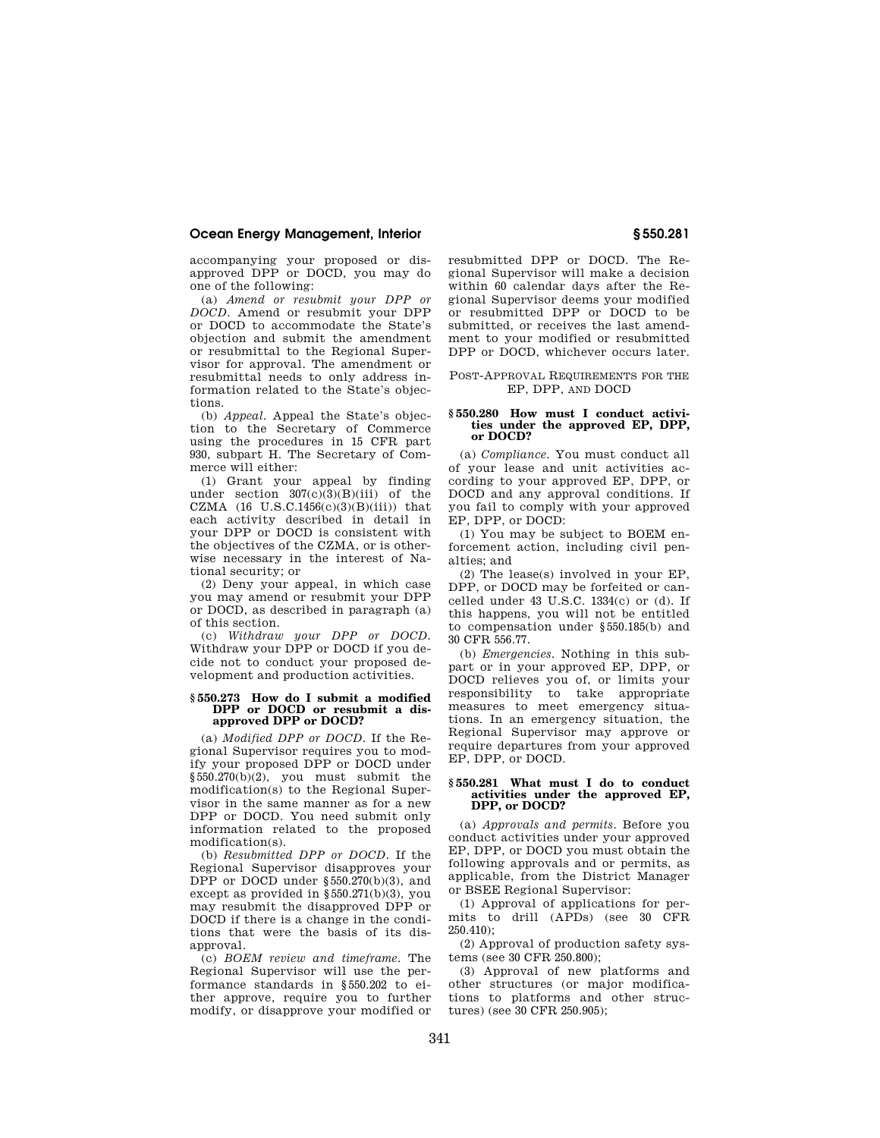accompanying your proposed or disapproved DPP or DOCD, you may do one of the following:

(a) *Amend or resubmit your DPP or DOCD.* Amend or resubmit your DPP or DOCD to accommodate the State's objection and submit the amendment or resubmittal to the Regional Supervisor for approval. The amendment or resubmittal needs to only address information related to the State's objections.

(b) *Appeal.* Appeal the State's objection to the Secretary of Commerce using the procedures in 15 CFR part 930, subpart H. The Secretary of Commerce will either:

(1) Grant your appeal by finding under section  $307(c)(3)(B)(iii)$  of the CZMA  $(16$  U.S.C.1456 $(c)(3)(B)(iii)$ ) that each activity described in detail in your DPP or DOCD is consistent with the objectives of the CZMA, or is otherwise necessary in the interest of National security; or

(2) Deny your appeal, in which case you may amend or resubmit your DPP or DOCD, as described in paragraph (a) of this section.

(c) *Withdraw your DPP or DOCD.*  Withdraw your DPP or DOCD if you decide not to conduct your proposed development and production activities.

## **§ 550.273 How do I submit a modified**  DPP or DOCD or resubmit a dis**approved DPP or DOCD?**

(a) *Modified DPP or DOCD.* If the Regional Supervisor requires you to modify your proposed DPP or DOCD under  $§550.270(b)(2)$ , you must submit the modification(s) to the Regional Supervisor in the same manner as for a new DPP or DOCD. You need submit only information related to the proposed modification(s).

(b) *Resubmitted DPP or DOCD.* If the Regional Supervisor disapproves your DPP or DOCD under §550.270(b)(3), and except as provided in §550.271(b)(3), you may resubmit the disapproved DPP or DOCD if there is a change in the conditions that were the basis of its disapproval.

(c) *BOEM review and timeframe.* The Regional Supervisor will use the performance standards in §550.202 to either approve, require you to further modify, or disapprove your modified or resubmitted DPP or DOCD. The Regional Supervisor will make a decision within 60 calendar days after the Regional Supervisor deems your modified or resubmitted DPP or DOCD to be submitted, or receives the last amendment to your modified or resubmitted DPP or DOCD, whichever occurs later.

POST-APPROVAL REQUIREMENTS FOR THE EP, DPP, AND DOCD

## **§ 550.280 How must I conduct activities under the approved EP, DPP, or DOCD?**

(a) *Compliance.* You must conduct all of your lease and unit activities according to your approved EP, DPP, or DOCD and any approval conditions. If you fail to comply with your approved EP, DPP, or DOCD:

(1) You may be subject to BOEM enforcement action, including civil penalties; and

(2) The lease(s) involved in your EP, DPP, or DOCD may be forfeited or cancelled under 43 U.S.C. 1334(c) or (d). If this happens, you will not be entitled to compensation under §550.185(b) and 30 CFR 556.77.

(b) *Emergencies.* Nothing in this subpart or in your approved EP, DPP, or DOCD relieves you of, or limits your responsibility to take appropriate measures to meet emergency situations. In an emergency situation, the Regional Supervisor may approve or require departures from your approved EP, DPP, or DOCD.

## **§ 550.281 What must I do to conduct activities under the approved EP, DPP, or DOCD?**

(a) *Approvals and permits.* Before you conduct activities under your approved EP, DPP, or DOCD you must obtain the following approvals and or permits, as applicable, from the District Manager or BSEE Regional Supervisor:

(1) Approval of applications for permits to drill (APDs) (see 30 CFR 250.410);

(2) Approval of production safety systems (see 30 CFR 250.800);

(3) Approval of new platforms and other structures (or major modifications to platforms and other structures) (see 30 CFR 250.905);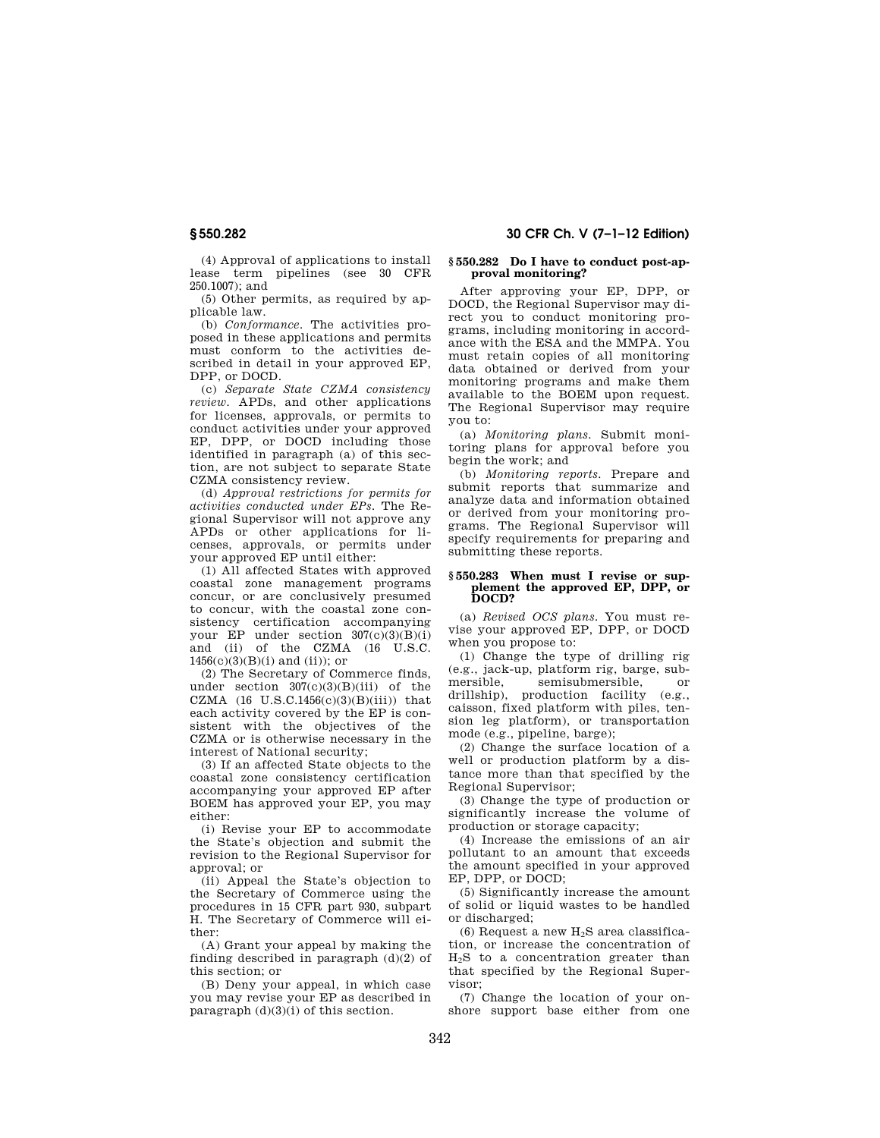(4) Approval of applications to install lease term pipelines (see 30 CFR  $250.1007$ ; and

(5) Other permits, as required by applicable law.

(b) *Conformance.* The activities proposed in these applications and permits must conform to the activities described in detail in your approved EP, DPP, or DOCD.

(c) *Separate State CZMA consistency review.* APDs, and other applications for licenses, approvals, or permits to conduct activities under your approved EP. DPP, or DOCD including those identified in paragraph (a) of this section, are not subject to separate State CZMA consistency review.

(d) *Approval restrictions for permits for activities conducted under EPs.* The Regional Supervisor will not approve any APDs or other applications for licenses, approvals, or permits under your approved EP until either:

(1) All affected States with approved coastal zone management programs concur, or are conclusively presumed to concur, with the coastal zone consistency certification accompanying your EP under section  $307(c)(3)(B)(i)$ and (ii) of the CZMA (16 U.S.C.  $1456(c)(3)(B)(i)$  and (ii)); or

(2) The Secretary of Commerce finds, under section  $307(c)(3)(B)(iii)$  of the CZMA  $(16 \text{ U.S.C.1456(c)(3)(B)(iii)})$  that each activity covered by the EP is consistent with the objectives of the CZMA or is otherwise necessary in the interest of National security;

(3) If an affected State objects to the coastal zone consistency certification accompanying your approved EP after BOEM has approved your EP, you may either:

(i) Revise your EP to accommodate the State's objection and submit the revision to the Regional Supervisor for approval; or

(ii) Appeal the State's objection to the Secretary of Commerce using the procedures in 15 CFR part 930, subpart H. The Secretary of Commerce will either:

(A) Grant your appeal by making the finding described in paragraph (d)(2) of this section; or

(B) Deny your appeal, in which case you may revise your EP as described in paragraph (d)(3)(i) of this section.

## **§ 550.282 30 CFR Ch. V (7–1–12 Edition)**

## **§ 550.282 Do I have to conduct post-approval monitoring?**

After approving your EP, DPP, or DOCD, the Regional Supervisor may direct you to conduct monitoring programs, including monitoring in accordance with the ESA and the MMPA. You must retain copies of all monitoring data obtained or derived from your monitoring programs and make them available to the BOEM upon request. The Regional Supervisor may require you to:

(a) *Monitoring plans.* Submit monitoring plans for approval before you begin the work; and

(b) *Monitoring reports.* Prepare and submit reports that summarize and analyze data and information obtained or derived from your monitoring programs. The Regional Supervisor will specify requirements for preparing and submitting these reports.

## **§ 550.283 When must I revise or supplement the approved EP, DPP, or DOCD?**

(a) *Revised OCS plans.* You must revise your approved EP, DPP, or DOCD when you propose to:

(1) Change the type of drilling rig (e.g., jack-up, platform rig, barge, submersible, semisubmersible, or drillship), production facility (e.g., caisson, fixed platform with piles, tension leg platform), or transportation mode (e.g., pipeline, barge);

(2) Change the surface location of a well or production platform by a distance more than that specified by the Regional Supervisor;

(3) Change the type of production or significantly increase the volume of production or storage capacity;

(4) Increase the emissions of an air pollutant to an amount that exceeds the amount specified in your approved EP, DPP, or DOCD;

(5) Significantly increase the amount of solid or liquid wastes to be handled or discharged;

(6) Request a new  $H_2S$  area classification, or increase the concentration of  $H<sub>2</sub>S$  to a concentration greater than that specified by the Regional Supervisor;

(7) Change the location of your onshore support base either from one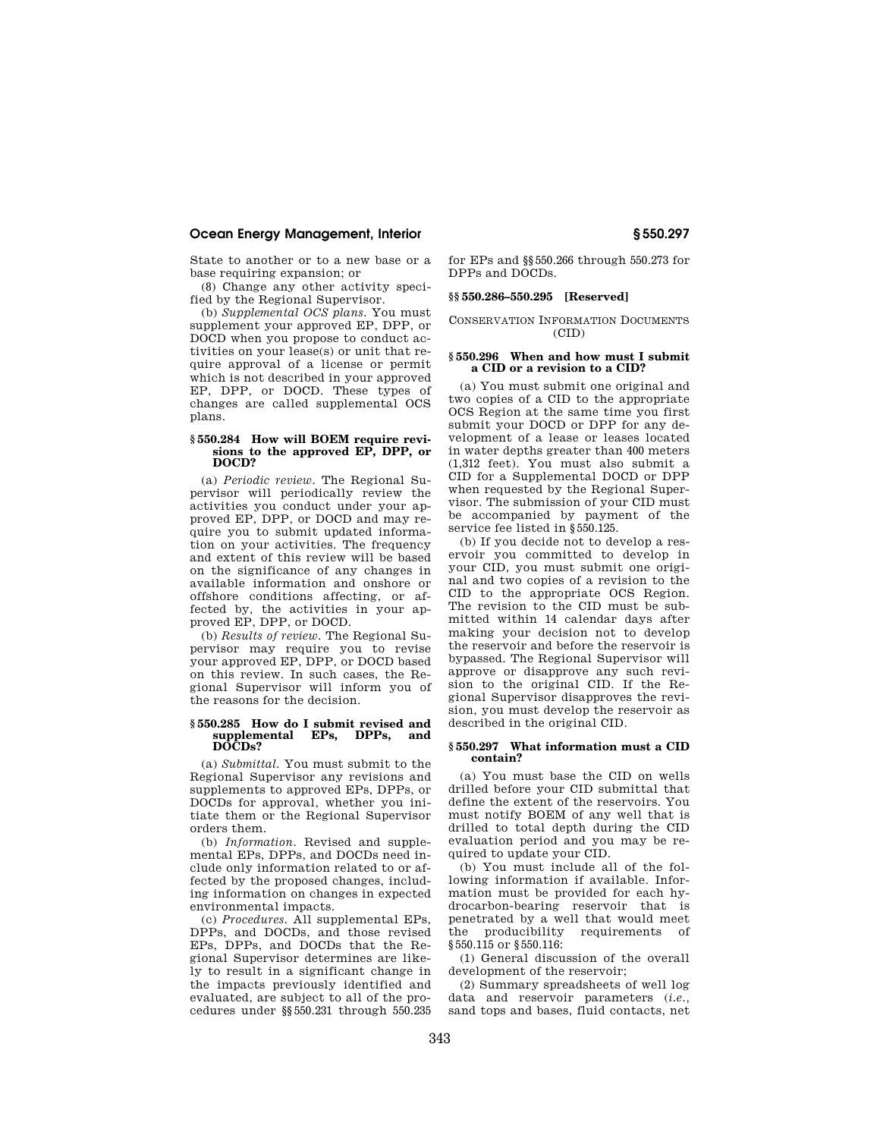State to another or to a new base or a base requiring expansion; or

(8) Change any other activity specified by the Regional Supervisor.

(b) *Supplemental OCS plans.* You must supplement your approved EP, DPP, or DOCD when you propose to conduct activities on your lease(s) or unit that require approval of a license or permit which is not described in your approved EP, DPP, or DOCD. These types of changes are called supplemental OCS plans.

#### **§ 550.284 How will BOEM require revisions to the approved EP, DPP, or DOCD?**

(a) *Periodic review.* The Regional Supervisor will periodically review the activities you conduct under your approved EP, DPP, or DOCD and may require you to submit updated information on your activities. The frequency and extent of this review will be based on the significance of any changes in available information and onshore or offshore conditions affecting, or affected by, the activities in your approved EP, DPP, or DOCD.

(b) *Results of review.* The Regional Supervisor may require you to revise your approved EP, DPP, or DOCD based on this review. In such cases, the Regional Supervisor will inform you of the reasons for the decision.

### **§ 550.285 How do I submit revised and**  supplemental EPs, DPPs, **DOCDs?**

(a) *Submittal.* You must submit to the Regional Supervisor any revisions and supplements to approved EPs, DPPs, or DOCDs for approval, whether you initiate them or the Regional Supervisor orders them.

(b) *Information.* Revised and supplemental EPs, DPPs, and DOCDs need include only information related to or affected by the proposed changes, including information on changes in expected environmental impacts.

(c) *Procedures.* All supplemental EPs, DPPs, and DOCDs, and those revised EPs, DPPs, and DOCDs that the Regional Supervisor determines are likely to result in a significant change in the impacts previously identified and evaluated, are subject to all of the procedures under §§550.231 through 550.235 for EPs and §§550.266 through 550.273 for DPPs and DOCDs.

## **§§ 550.286–550.295 [Reserved]**

## CONSERVATION INFORMATION DOCUMENTS (CID)

## **§ 550.296 When and how must I submit a CID or a revision to a CID?**

(a) You must submit one original and two copies of a CID to the appropriate OCS Region at the same time you first submit your DOCD or DPP for any development of a lease or leases located in water depths greater than 400 meters (1,312 feet). You must also submit a CID for a Supplemental DOCD or DPP when requested by the Regional Supervisor. The submission of your CID must be accompanied by payment of the service fee listed in §550.125.

(b) If you decide not to develop a reservoir you committed to develop in your CID, you must submit one original and two copies of a revision to the CID to the appropriate OCS Region. The revision to the CID must be submitted within 14 calendar days after making your decision not to develop the reservoir and before the reservoir is bypassed. The Regional Supervisor will approve or disapprove any such revision to the original CID. If the Regional Supervisor disapproves the revision, you must develop the reservoir as described in the original CID.

## **§ 550.297 What information must a CID contain?**

(a) You must base the CID on wells drilled before your CID submittal that define the extent of the reservoirs. You must notify BOEM of any well that is drilled to total depth during the CID evaluation period and you may be required to update your CID.

(b) You must include all of the following information if available. Information must be provided for each hydrocarbon-bearing reservoir that is penetrated by a well that would meet the producibility requirements of §550.115 or §550.116:

(1) General discussion of the overall development of the reservoir;

(2) Summary spreadsheets of well log data and reservoir parameters (*i.e.,*  sand tops and bases, fluid contacts, net